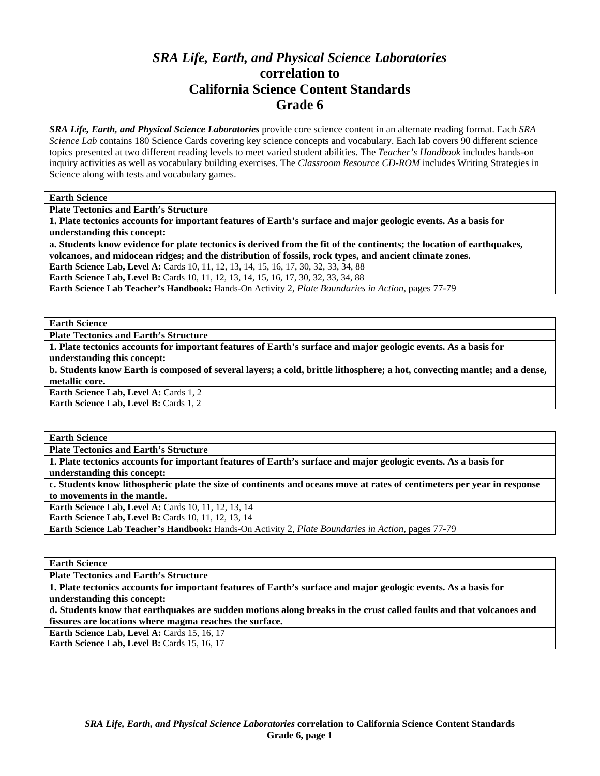# *SRA Life, Earth, and Physical Science Laboratories*  **correlation to California Science Content Standards Grade 6**

*SRA Life, Earth, and Physical Science Laboratories* provide core science content in an alternate reading format. Each *SRA Science Lab* contains 180 Science Cards covering key science concepts and vocabulary. Each lab covers 90 different science topics presented at two different reading levels to meet varied student abilities. The *Teacher's Handbook* includes hands-on inquiry activities as well as vocabulary building exercises. The *Classroom Resource CD-ROM* includes Writing Strategies in Science along with tests and vocabulary games.

**Earth Science** 

**Plate Tectonics and Earth's Structure** 

**1. Plate tectonics accounts for important features of Earth's surface and major geologic events. As a basis for understanding this concept:** 

**a. Students know evidence for plate tectonics is derived from the fit of the continents; the location of earthquakes, volcanoes, and midocean ridges; and the distribution of fossils, rock types, and ancient climate zones.** 

**Earth Science Lab, Level A:** Cards 10, 11, 12, 13, 14, 15, 16, 17, 30, 32, 33, 34, 88

**Earth Science Lab, Level B:** Cards 10, 11, 12, 13, 14, 15, 16, 17, 30, 32, 33, 34, 88

**Earth Science Lab Teacher's Handbook:** Hands-On Activity 2, *Plate Boundaries in Action,* pages 77-79

**Earth Science** 

**Plate Tectonics and Earth's Structure** 

**1. Plate tectonics accounts for important features of Earth's surface and major geologic events. As a basis for understanding this concept:** 

**b. Students know Earth is composed of several layers; a cold, brittle lithosphere; a hot, convecting mantle; and a dense, metallic core.** 

**Earth Science Lab, Level A: Cards 1, 2 Earth Science Lab, Level B: Cards 1, 2** 

**Earth Science** 

**Plate Tectonics and Earth's Structure** 

**1. Plate tectonics accounts for important features of Earth's surface and major geologic events. As a basis for understanding this concept:** 

**c. Students know lithospheric plate the size of continents and oceans move at rates of centimeters per year in response to movements in the mantle.** 

**Earth Science Lab, Level A: Cards 10, 11, 12, 13, 14** 

**Earth Science Lab, Level B: Cards 10, 11, 12, 13, 14** 

**Earth Science Lab Teacher's Handbook:** Hands-On Activity 2, *Plate Boundaries in Action,* pages 77-79

**Earth Science** 

**Plate Tectonics and Earth's Structure** 

**1. Plate tectonics accounts for important features of Earth's surface and major geologic events. As a basis for understanding this concept:** 

**d. Students know that earthquakes are sudden motions along breaks in the crust called faults and that volcanoes and fissures are locations where magma reaches the surface.** 

Earth Science Lab, Level A: Cards 15, 16, 17

**Earth Science Lab, Level B: Cards 15, 16, 17**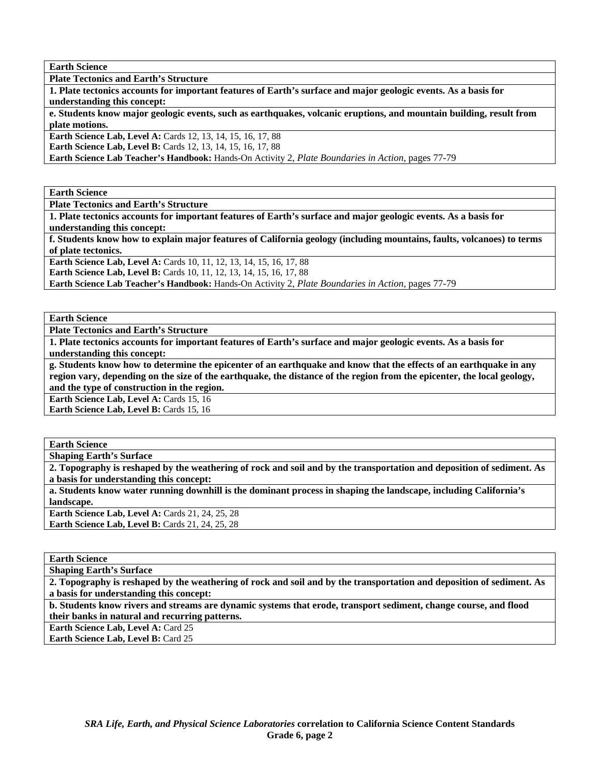**Earth Science** 

**Plate Tectonics and Earth's Structure** 

**1. Plate tectonics accounts for important features of Earth's surface and major geologic events. As a basis for understanding this concept:** 

**e. Students know major geologic events, such as earthquakes, volcanic eruptions, and mountain building, result from plate motions.** 

**Earth Science Lab, Level A: Cards 12, 13, 14, 15, 16, 17, 88** 

**Earth Science Lab, Level B:** Cards 12, 13, 14, 15, 16, 17, 88

**Earth Science Lab Teacher's Handbook:** Hands-On Activity 2, *Plate Boundaries in Action,* pages 77-79

**Earth Science** 

**Plate Tectonics and Earth's Structure** 

**1. Plate tectonics accounts for important features of Earth's surface and major geologic events. As a basis for understanding this concept:** 

**f. Students know how to explain major features of California geology (including mountains, faults, volcanoes) to terms of plate tectonics.** 

**Earth Science Lab, Level A: Cards 10, 11, 12, 13, 14, 15, 16, 17, 88** 

**Earth Science Lab, Level B:** Cards 10, 11, 12, 13, 14, 15, 16, 17, 88

**Earth Science Lab Teacher's Handbook:** Hands-On Activity 2, *Plate Boundaries in Action,* pages 77-79

**Earth Science** 

**Plate Tectonics and Earth's Structure** 

**1. Plate tectonics accounts for important features of Earth's surface and major geologic events. As a basis for understanding this concept:** 

**g. Students know how to determine the epicenter of an earthquake and know that the effects of an earthquake in any region vary, depending on the size of the earthquake, the distance of the region from the epicenter, the local geology, and the type of construction in the region.** 

Earth Science Lab, Level A: Cards 15, 16

**Earth Science Lab, Level B: Cards 15, 16** 

**Earth Science** 

**Shaping Earth's Surface** 

**2. Topography is reshaped by the weathering of rock and soil and by the transportation and deposition of sediment. As a basis for understanding this concept:** 

**a. Students know water running downhill is the dominant process in shaping the landscape, including California's landscape.** 

**Earth Science Lab, Level A: Cards 21, 24, 25, 28 Earth Science Lab, Level B: Cards 21, 24, 25, 28** 

**Earth Science** 

**Shaping Earth's Surface** 

**2. Topography is reshaped by the weathering of rock and soil and by the transportation and deposition of sediment. As a basis for understanding this concept:** 

**b. Students know rivers and streams are dynamic systems that erode, transport sediment, change course, and flood their banks in natural and recurring patterns.** 

Earth Science Lab, Level A: Card 25 **Earth Science Lab, Level B: Card 25**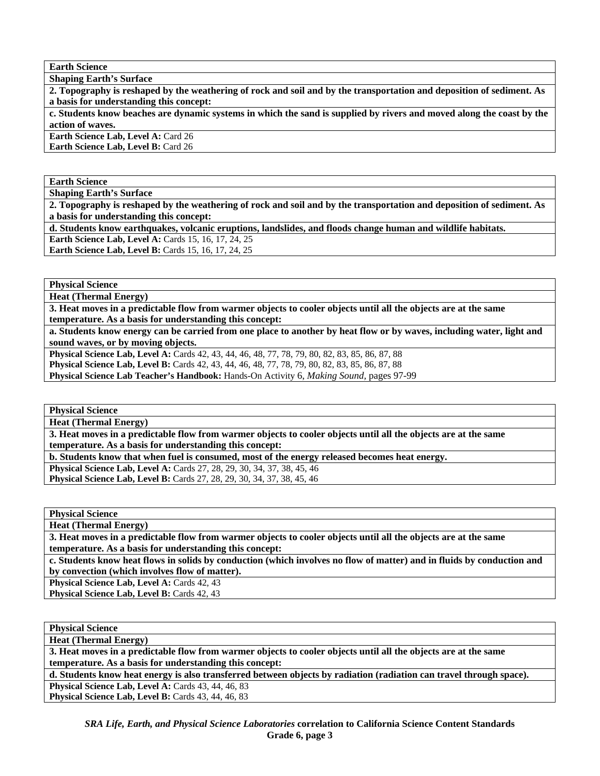**Earth Science** 

**Shaping Earth's Surface** 

**2. Topography is reshaped by the weathering of rock and soil and by the transportation and deposition of sediment. As a basis for understanding this concept:** 

**c. Students know beaches are dynamic systems in which the sand is supplied by rivers and moved along the coast by the action of waves.** 

**Earth Science Lab, Level A: Card 26** 

**Earth Science Lab, Level B:** Card 26

**Earth Science** 

**Shaping Earth's Surface** 

**2. Topography is reshaped by the weathering of rock and soil and by the transportation and deposition of sediment. As a basis for understanding this concept:** 

**d. Students know earthquakes, volcanic eruptions, landslides, and floods change human and wildlife habitats. Earth Science Lab, Level A: Cards 15, 16, 17, 24, 25** 

**Earth Science Lab, Level B: Cards 15, 16, 17, 24, 25** 

**Physical Science** 

**Heat (Thermal Energy)** 

**3. Heat moves in a predictable flow from warmer objects to cooler objects until all the objects are at the same temperature. As a basis for understanding this concept:** 

**a. Students know energy can be carried from one place to another by heat flow or by waves, including water, light and sound waves, or by moving objects.** 

**Physical Science Lab, Level A:** Cards 42, 43, 44, 46, 48, 77, 78, 79, 80, 82, 83, 85, 86, 87, 88 **Physical Science Lab, Level B:** Cards 42, 43, 44, 46, 48, 77, 78, 79, 80, 82, 83, 85, 86, 87, 88 **Physical Science Lab Teacher's Handbook:** Hands-On Activity 6, *Making Sound,* pages 97-99

**Physical Science** 

**Heat (Thermal Energy)** 

**3. Heat moves in a predictable flow from warmer objects to cooler objects until all the objects are at the same temperature. As a basis for understanding this concept:** 

**b. Students know that when fuel is consumed, most of the energy released becomes heat energy.** 

**Physical Science Lab, Level A:** Cards 27, 28, 29, 30, 34, 37, 38, 45, 46 **Physical Science Lab, Level B:** Cards 27, 28, 29, 30, 34, 37, 38, 45, 46

**Physical Science** 

**Heat (Thermal Energy)** 

**3. Heat moves in a predictable flow from warmer objects to cooler objects until all the objects are at the same temperature. As a basis for understanding this concept:** 

**c. Students know heat flows in solids by conduction (which involves no flow of matter) and in fluids by conduction and by convection (which involves flow of matter).** 

**Physical Science Lab, Level A: Cards 42, 43** 

Physical Science Lab, Level B: Cards 42, 43

**Physical Science** 

**Heat (Thermal Energy)** 

**3. Heat moves in a predictable flow from warmer objects to cooler objects until all the objects are at the same temperature. As a basis for understanding this concept:** 

**d. Students know heat energy is also transferred between objects by radiation (radiation can travel through space).** 

**Physical Science Lab, Level A: Cards 43, 44, 46, 83**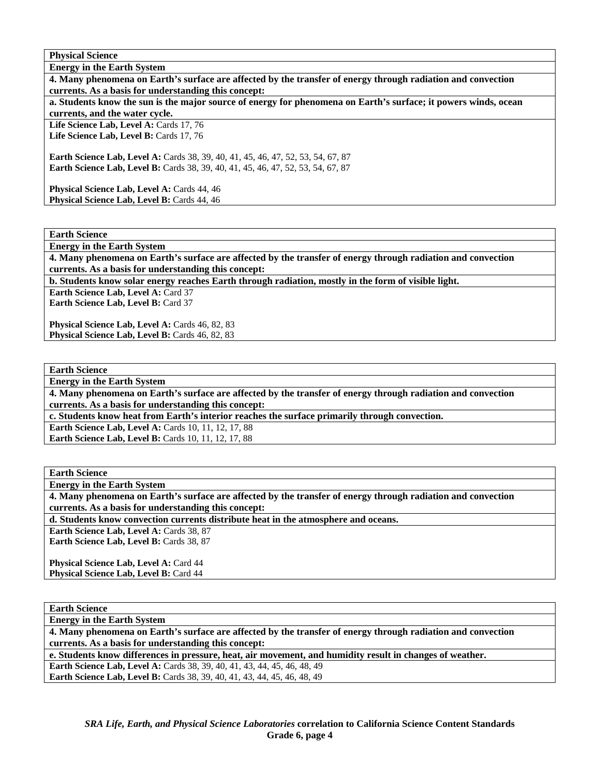**Energy in the Earth System 4. Many phenomena on Earth's surface are affected by the transfer of energy through radiation and convection currents. As a basis for understanding this concept: a. Students know the sun is the major source of energy for phenomena on Earth's surface; it powers winds, ocean currents, and the water cycle.**  Life Science Lab, Level A: Cards 17, 76 Life Science Lab, Level B: Cards 17, 76

**Earth Science Lab, Level A:** Cards 38, 39, 40, 41, 45, 46, 47, 52, 53, 54, 67, 87 **Earth Science Lab, Level B:** Cards 38, 39, 40, 41, 45, 46, 47, 52, 53, 54, 67, 87

Physical Science Lab, Level A: Cards 44, 46 Physical Science Lab, Level B: Cards 44, 46

**Earth Science** 

**Energy in the Earth System** 

**4. Many phenomena on Earth's surface are affected by the transfer of energy through radiation and convection currents. As a basis for understanding this concept:** 

**b. Students know solar energy reaches Earth through radiation, mostly in the form of visible light.** 

**Earth Science Lab, Level A:** Card 37

**Earth Science Lab, Level B:** Card 37

Physical Science Lab, Level A: Cards 46, 82, 83 Physical Science Lab, Level B: Cards 46, 82, 83

**Earth Science Energy in the Earth System 4. Many phenomena on Earth's surface are affected by the transfer of energy through radiation and convection currents. As a basis for understanding this concept: c. Students know heat from Earth's interior reaches the surface primarily through convection. Earth Science Lab, Level A: Cards 10, 11, 12, 17, 88 Earth Science Lab, Level B: Cards 10, 11, 12, 17, 88** 

**Earth Science Energy in the Earth System 4. Many phenomena on Earth's surface are affected by the transfer of energy through radiation and convection currents. As a basis for understanding this concept: d. Students know convection currents distribute heat in the atmosphere and oceans.**  Earth Science Lab, Level A: Cards 38, 87 **Earth Science Lab, Level B: Cards 38, 87** Physical Science Lab, Level A: Card 44 **Physical Science Lab, Level B: Card 44** 

**Earth Science Energy in the Earth System 4. Many phenomena on Earth's surface are affected by the transfer of energy through radiation and convection currents. As a basis for understanding this concept: e. Students know differences in pressure, heat, air movement, and humidity result in changes of weather. Earth Science Lab, Level A:** Cards 38, 39, 40, 41, 43, 44, 45, 46, 48, 49 **Earth Science Lab, Level B:** Cards 38, 39, 40, 41, 43, 44, 45, 46, 48, 49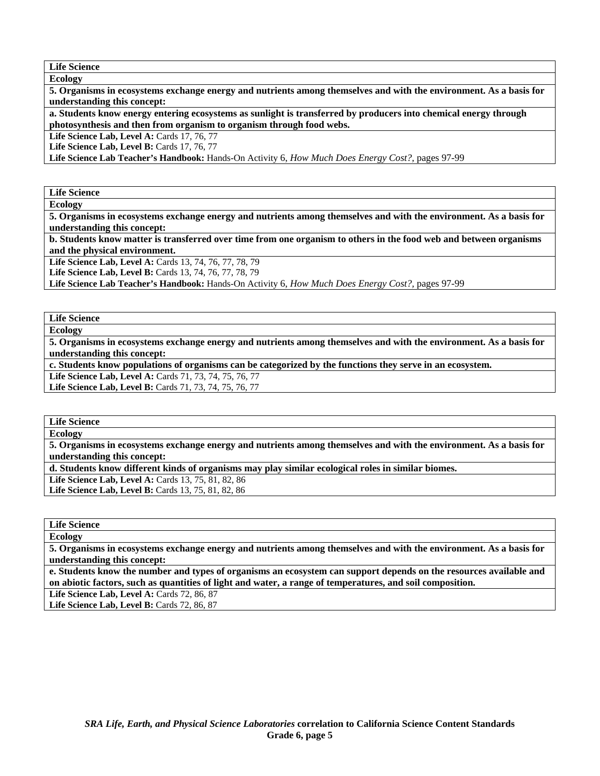**Life Science Ecology** 

**5. Organisms in ecosystems exchange energy and nutrients among themselves and with the environment. As a basis for understanding this concept:** 

**a. Students know energy entering ecosystems as sunlight is transferred by producers into chemical energy through photosynthesis and then from organism to organism through food webs.** 

**Life Science Lab, Level A: Cards 17, 76, 77** 

Life Science Lab, Level B: Cards 17, 76, 77

**Life Science Lab Teacher's Handbook:** Hands-On Activity 6, *How Much Does Energy Cost?,* pages 97-99

**Life Science Ecology** 

**5. Organisms in ecosystems exchange energy and nutrients among themselves and with the environment. As a basis for understanding this concept:** 

**b. Students know matter is transferred over time from one organism to others in the food web and between organisms and the physical environment.** 

Life Science Lab, Level A: Cards 13, 74, 76, 77, 78, 79

**Life Science Lab, Level B:** Cards 13, 74, 76, 77, 78, 79

**Life Science Lab Teacher's Handbook:** Hands-On Activity 6, *How Much Does Energy Cost?,* pages 97-99

**Life Science** 

**Ecology** 

**5. Organisms in ecosystems exchange energy and nutrients among themselves and with the environment. As a basis for understanding this concept:** 

**c. Students know populations of organisms can be categorized by the functions they serve in an ecosystem.** 

**Life Science Lab, Level A:** Cards 71, 73, 74, 75, 76, 77

**Life Science Lab, Level B:** Cards 71, 73, 74, 75, 76, 77

**Life Science Ecology** 

**5. Organisms in ecosystems exchange energy and nutrients among themselves and with the environment. As a basis for understanding this concept:** 

**d. Students know different kinds of organisms may play similar ecological roles in similar biomes.** 

**Life Science Lab, Level A: Cards 13, 75, 81, 82, 86** 

Life Science Lab, Level B: Cards 13, 75, 81, 82, 86

**Life Science Ecology** 

**5. Organisms in ecosystems exchange energy and nutrients among themselves and with the environment. As a basis for understanding this concept:** 

**e. Students know the number and types of organisms an ecosystem can support depends on the resources available and on abiotic factors, such as quantities of light and water, a range of temperatures, and soil composition.** 

Life Science Lab, Level A: Cards 72, 86, 87

Life Science Lab, Level B: Cards 72, 86, 87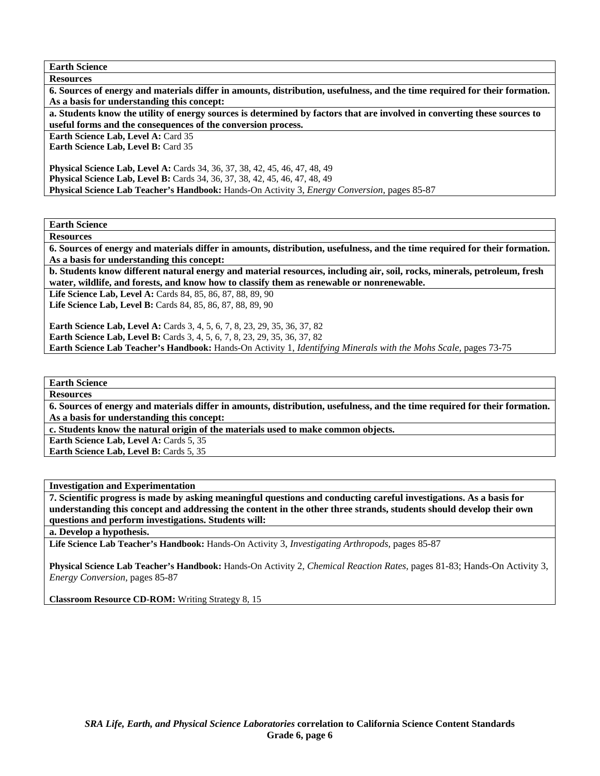**Earth Science** 

| <b>Resources</b>                                                                                                           |  |  |
|----------------------------------------------------------------------------------------------------------------------------|--|--|
| 6. Sources of energy and materials differ in amounts, distribution, usefulness, and the time required for their formation. |  |  |
| As a basis for understanding this concept:                                                                                 |  |  |
| a. Students know the utility of energy sources is determined by factors that are involved in converting these sources to   |  |  |
| useful forms and the consequences of the conversion process.                                                               |  |  |
| Earth Science Lab, Level A: Card 35                                                                                        |  |  |
| <b>Earth Science Lab, Level B: Card 35</b>                                                                                 |  |  |
|                                                                                                                            |  |  |
| <b>Physical Science Lab, Level A:</b> Cards 34, 36, 37, 38, 42, 45, 46, 47, 48, 49                                         |  |  |
| <b>Physical Science Lab, Level B:</b> Cards 34, 36, 37, 38, 42, 45, 46, 47, 48, 49                                         |  |  |
| Physical Science Lab Teacher's Handbook: Hands-On Activity 3, <i>Energy Conversion</i> , pages 85-87                       |  |  |
|                                                                                                                            |  |  |

**Earth Science** 

**Resources** 

**6. Sources of energy and materials differ in amounts, distribution, usefulness, and the time required for their formation. As a basis for understanding this concept:** 

**b. Students know different natural energy and material resources, including air, soil, rocks, minerals, petroleum, fresh water, wildlife, and forests, and know how to classify them as renewable or nonrenewable.** 

Life Science Lab, Level A: Cards 84, 85, 86, 87, 88, 89, 90

**Life Science Lab, Level B:** Cards 84, 85, 86, 87, 88, 89, 90

**Earth Science Lab, Level A:** Cards 3, 4, 5, 6, 7, 8, 23, 29, 35, 36, 37, 82 **Earth Science Lab, Level B:** Cards 3, 4, 5, 6, 7, 8, 23, 29, 35, 36, 37, 82 **Earth Science Lab Teacher's Handbook:** Hands-On Activity 1, *Identifying Minerals with the Mohs Scale,* pages 73-75

### **Earth Science**

**Resources** 

**6. Sources of energy and materials differ in amounts, distribution, usefulness, and the time required for their formation. As a basis for understanding this concept:** 

**c. Students know the natural origin of the materials used to make common objects.** 

**Earth Science Lab, Level A: Cards 5, 35** 

**Earth Science Lab, Level B: Cards 5, 35** 

**Investigation and Experimentation** 

**7. Scientific progress is made by asking meaningful questions and conducting careful investigations. As a basis for understanding this concept and addressing the content in the other three strands, students should develop their own questions and perform investigations. Students will:** 

#### **a. Develop a hypothesis.**

**Life Science Lab Teacher's Handbook:** Hands-On Activity 3, *Investigating Arthropods,* pages 85-87

**Physical Science Lab Teacher's Handbook:** Hands-On Activity 2, *Chemical Reaction Rates,* pages 81-83; Hands-On Activity 3, *Energy Conversion,* pages 85-87

**Classroom Resource CD-ROM:** Writing Strategy 8, 15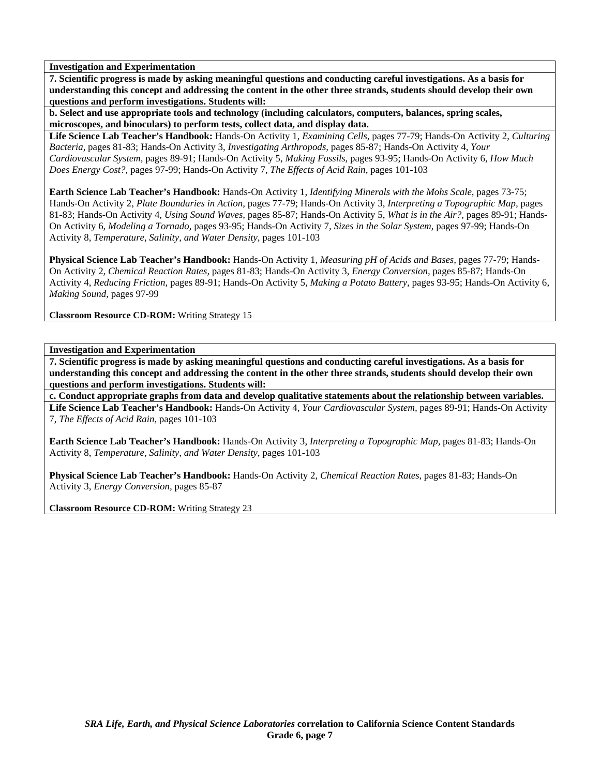**7. Scientific progress is made by asking meaningful questions and conducting careful investigations. As a basis for understanding this concept and addressing the content in the other three strands, students should develop their own questions and perform investigations. Students will:** 

**b. Select and use appropriate tools and technology (including calculators, computers, balances, spring scales, microscopes, and binoculars) to perform tests, collect data, and display data.** 

**Life Science Lab Teacher's Handbook:** Hands-On Activity 1, *Examining Cells,* pages 77-79; Hands-On Activity 2, *Culturing Bacteria,* pages 81-83; Hands-On Activity 3, *Investigating Arthropods,* pages 85-87; Hands-On Activity 4, *Your Cardiovascular System,* pages 89-91; Hands-On Activity 5, *Making Fossils,* pages 93-95; Hands-On Activity 6, *How Much Does Energy Cost?,* pages 97-99; Hands-On Activity 7, *The Effects of Acid Rain,* pages 101-103

**Earth Science Lab Teacher's Handbook:** Hands-On Activity 1, *Identifying Minerals with the Mohs Scale,* pages 73-75; Hands-On Activity 2, *Plate Boundaries in Action,* pages 77-79; Hands-On Activity 3, *Interpreting a Topographic Map,* pages 81-83; Hands-On Activity 4, *Using Sound Waves,* pages 85-87; Hands-On Activity 5, *What is in the Air?,* pages 89-91; Hands-On Activity 6, *Modeling a Tornado,* pages 93-95; Hands-On Activity 7, *Sizes in the Solar System,* pages 97-99; Hands-On Activity 8, *Temperature, Salinity, and Water Density,* pages 101-103

**Physical Science Lab Teacher's Handbook:** Hands-On Activity 1, *Measuring pH of Acids and Bases,* pages 77-79; Hands-On Activity 2, *Chemical Reaction Rates,* pages 81-83; Hands-On Activity 3, *Energy Conversion,* pages 85-87; Hands-On Activity 4, *Reducing Friction,* pages 89-91; Hands-On Activity 5, *Making a Potato Battery,* pages 93-95; Hands-On Activity 6, *Making Sound,* pages 97-99

**Classroom Resource CD-ROM:** Writing Strategy 15

#### **Investigation and Experimentation**

**7. Scientific progress is made by asking meaningful questions and conducting careful investigations. As a basis for understanding this concept and addressing the content in the other three strands, students should develop their own questions and perform investigations. Students will:** 

**c. Conduct appropriate graphs from data and develop qualitative statements about the relationship between variables. Life Science Lab Teacher's Handbook:** Hands-On Activity 4, *Your Cardiovascular System,* pages 89-91; Hands-On Activity 7, *The Effects of Acid Rain,* pages 101-103

**Earth Science Lab Teacher's Handbook:** Hands-On Activity 3, *Interpreting a Topographic Map,* pages 81-83; Hands-On Activity 8, *Temperature, Salinity, and Water Density,* pages 101-103

**Physical Science Lab Teacher's Handbook:** Hands-On Activity 2, *Chemical Reaction Rates,* pages 81-83; Hands-On Activity 3, *Energy Conversion,* pages 85-87

**Classroom Resource CD-ROM:** Writing Strategy 23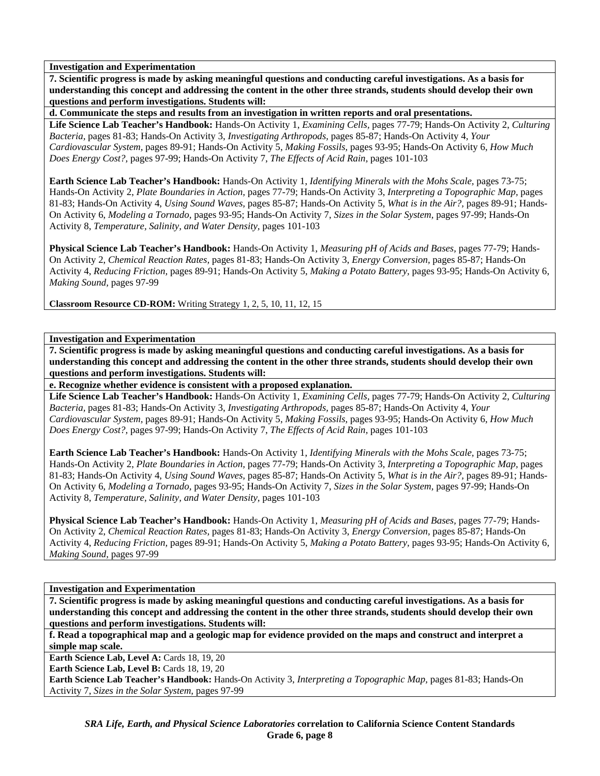**7. Scientific progress is made by asking meaningful questions and conducting careful investigations. As a basis for understanding this concept and addressing the content in the other three strands, students should develop their own questions and perform investigations. Students will:** 

**d. Communicate the steps and results from an investigation in written reports and oral presentations.** 

**Life Science Lab Teacher's Handbook:** Hands-On Activity 1, *Examining Cells,* pages 77-79; Hands-On Activity 2, *Culturing Bacteria,* pages 81-83; Hands-On Activity 3, *Investigating Arthropods,* pages 85-87; Hands-On Activity 4, *Your Cardiovascular System,* pages 89-91; Hands-On Activity 5, *Making Fossils,* pages 93-95; Hands-On Activity 6, *How Much Does Energy Cost?,* pages 97-99; Hands-On Activity 7, *The Effects of Acid Rain,* pages 101-103

**Earth Science Lab Teacher's Handbook:** Hands-On Activity 1, *Identifying Minerals with the Mohs Scale,* pages 73-75; Hands-On Activity 2, *Plate Boundaries in Action,* pages 77-79; Hands-On Activity 3, *Interpreting a Topographic Map,* pages 81-83; Hands-On Activity 4, *Using Sound Waves,* pages 85-87; Hands-On Activity 5, *What is in the Air?,* pages 89-91; Hands-On Activity 6, *Modeling a Tornado,* pages 93-95; Hands-On Activity 7, *Sizes in the Solar System,* pages 97-99; Hands-On Activity 8, *Temperature, Salinity, and Water Density,* pages 101-103

**Physical Science Lab Teacher's Handbook:** Hands-On Activity 1, *Measuring pH of Acids and Bases,* pages 77-79; Hands-On Activity 2, *Chemical Reaction Rates,* pages 81-83; Hands-On Activity 3, *Energy Conversion,* pages 85-87; Hands-On Activity 4, *Reducing Friction,* pages 89-91; Hands-On Activity 5, *Making a Potato Battery,* pages 93-95; Hands-On Activity 6, *Making Sound,* pages 97-99

**Classroom Resource CD-ROM:** Writing Strategy 1, 2, 5, 10, 11, 12, 15

**Investigation and Experimentation** 

**7. Scientific progress is made by asking meaningful questions and conducting careful investigations. As a basis for understanding this concept and addressing the content in the other three strands, students should develop their own questions and perform investigations. Students will:** 

**e. Recognize whether evidence is consistent with a proposed explanation.** 

**Life Science Lab Teacher's Handbook:** Hands-On Activity 1, *Examining Cells,* pages 77-79; Hands-On Activity 2, *Culturing Bacteria,* pages 81-83; Hands-On Activity 3, *Investigating Arthropods,* pages 85-87; Hands-On Activity 4, *Your Cardiovascular System,* pages 89-91; Hands-On Activity 5, *Making Fossils,* pages 93-95; Hands-On Activity 6, *How Much Does Energy Cost?,* pages 97-99; Hands-On Activity 7, *The Effects of Acid Rain,* pages 101-103

**Earth Science Lab Teacher's Handbook:** Hands-On Activity 1, *Identifying Minerals with the Mohs Scale,* pages 73-75; Hands-On Activity 2, *Plate Boundaries in Action,* pages 77-79; Hands-On Activity 3, *Interpreting a Topographic Map,* pages 81-83; Hands-On Activity 4, *Using Sound Waves,* pages 85-87; Hands-On Activity 5, *What is in the Air?,* pages 89-91; Hands-On Activity 6, *Modeling a Tornado,* pages 93-95; Hands-On Activity 7, *Sizes in the Solar System,* pages 97-99; Hands-On Activity 8, *Temperature, Salinity, and Water Density,* pages 101-103

**Physical Science Lab Teacher's Handbook:** Hands-On Activity 1, *Measuring pH of Acids and Bases,* pages 77-79; Hands-On Activity 2, *Chemical Reaction Rates,* pages 81-83; Hands-On Activity 3, *Energy Conversion,* pages 85-87; Hands-On Activity 4, *Reducing Friction,* pages 89-91; Hands-On Activity 5, *Making a Potato Battery,* pages 93-95; Hands-On Activity 6, *Making Sound,* pages 97-99

**Investigation and Experimentation** 

**7. Scientific progress is made by asking meaningful questions and conducting careful investigations. As a basis for understanding this concept and addressing the content in the other three strands, students should develop their own questions and perform investigations. Students will:** 

**f. Read a topographical map and a geologic map for evidence provided on the maps and construct and interpret a simple map scale.** 

**Earth Science Lab, Level A: Cards 18, 19, 20** 

Earth Science Lab, Level B: Cards 18, 19, 20

**Earth Science Lab Teacher's Handbook:** Hands-On Activity 3, *Interpreting a Topographic Map,* pages 81-83; Hands-On Activity 7, *Sizes in the Solar System,* pages 97-99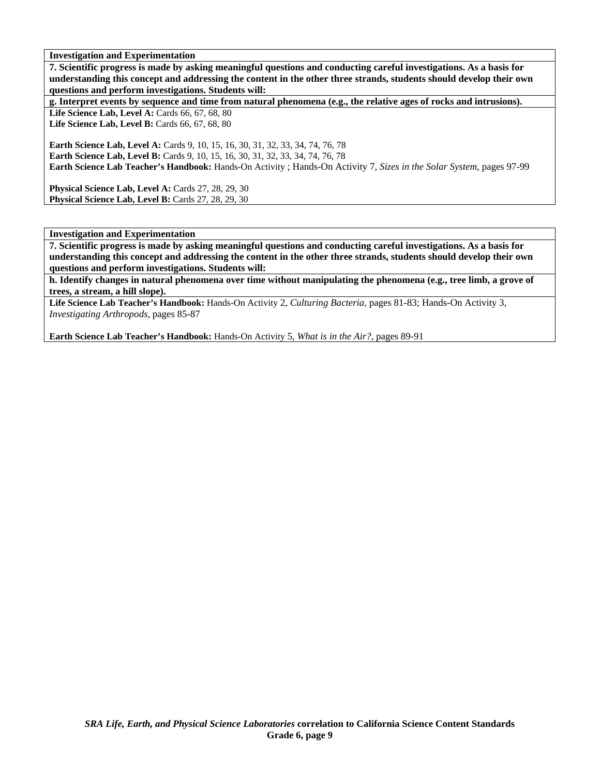**7. Scientific progress is made by asking meaningful questions and conducting careful investigations. As a basis for understanding this concept and addressing the content in the other three strands, students should develop their own questions and perform investigations. Students will:** 

**g. Interpret events by sequence and time from natural phenomena (e.g., the relative ages of rocks and intrusions).** 

Life Science Lab, Level A: Cards 66, 67, 68, 80 Life Science Lab, Level B: Cards 66, 67, 68, 80

**Earth Science Lab, Level A: Cards 9, 10, 15, 16, 30, 31, 32, 33, 34, 74, 76, 78 Earth Science Lab, Level B:** Cards 9, 10, 15, 16, 30, 31, 32, 33, 34, 74, 76, 78 **Earth Science Lab Teacher's Handbook:** Hands-On Activity ; Hands-On Activity 7, *Sizes in the Solar System,* pages 97-99

**Physical Science Lab, Level A:** Cards 27, 28, 29, 30 **Physical Science Lab, Level B:** Cards 27, 28, 29, 30

**Investigation and Experimentation** 

**7. Scientific progress is made by asking meaningful questions and conducting careful investigations. As a basis for understanding this concept and addressing the content in the other three strands, students should develop their own questions and perform investigations. Students will:** 

**h. Identify changes in natural phenomena over time without manipulating the phenomena (e.g., tree limb, a grove of trees, a stream, a hill slope).** 

**Life Science Lab Teacher's Handbook:** Hands-On Activity 2, *Culturing Bacteria,* pages 81-83; Hands-On Activity 3, *Investigating Arthropods,* pages 85-87

**Earth Science Lab Teacher's Handbook:** Hands-On Activity 5, *What is in the Air?,* pages 89-91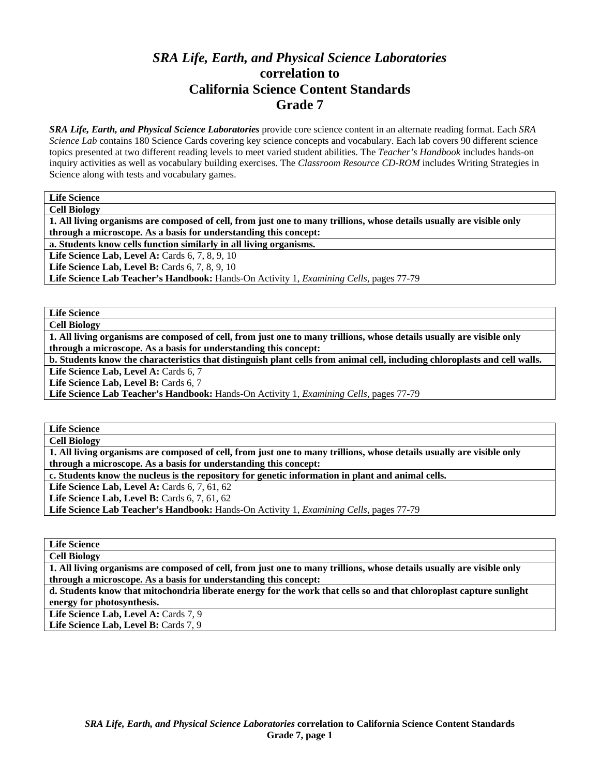# *SRA Life, Earth, and Physical Science Laboratories*  **correlation to California Science Content Standards Grade 7**

*SRA Life, Earth, and Physical Science Laboratories* provide core science content in an alternate reading format. Each *SRA Science Lab* contains 180 Science Cards covering key science concepts and vocabulary. Each lab covers 90 different science topics presented at two different reading levels to meet varied student abilities. The *Teacher's Handbook* includes hands-on inquiry activities as well as vocabulary building exercises. The *Classroom Resource CD-ROM* includes Writing Strategies in Science along with tests and vocabulary games.

**Life Science Cell Biology** 

**1. All living organisms are composed of cell, from just one to many trillions, whose details usually are visible only through a microscope. As a basis for understanding this concept:** 

**a. Students know cells function similarly in all living organisms.** 

**Life Science Lab, Level A: Cards 6, 7, 8, 9, 10** 

**Life Science Lab, Level B:** Cards 6, 7, 8, 9, 10

**Life Science Lab Teacher's Handbook:** Hands-On Activity 1, *Examining Cells,* pages 77-79

**Life Science Cell Biology** 

**1. All living organisms are composed of cell, from just one to many trillions, whose details usually are visible only through a microscope. As a basis for understanding this concept:** 

**b. Students know the characteristics that distinguish plant cells from animal cell, including chloroplasts and cell walls.** 

Life Science Lab, Level A: Cards 6, 7

Life Science Lab, Level B: Cards 6, 7

**Life Science Lab Teacher's Handbook:** Hands-On Activity 1, *Examining Cells,* pages 77-79

**Life Science** 

**Cell Biology** 

**1. All living organisms are composed of cell, from just one to many trillions, whose details usually are visible only through a microscope. As a basis for understanding this concept:** 

**c. Students know the nucleus is the repository for genetic information in plant and animal cells.** 

**Life Science Lab, Level A:** Cards 6, 7, 61, 62

**Life Science Lab, Level B: Cards 6, 7, 61, 62** 

**Life Science Lab Teacher's Handbook:** Hands-On Activity 1, *Examining Cells,* pages 77-79

**Life Science** 

**Cell Biology 1. All living organisms are composed of cell, from just one to many trillions, whose details usually are visible only** 

**through a microscope. As a basis for understanding this concept:** 

**d. Students know that mitochondria liberate energy for the work that cells so and that chloroplast capture sunlight energy for photosynthesis.** 

Life Science Lab, Level A: Cards 7, 9 Life Science Lab, Level B: Cards 7, 9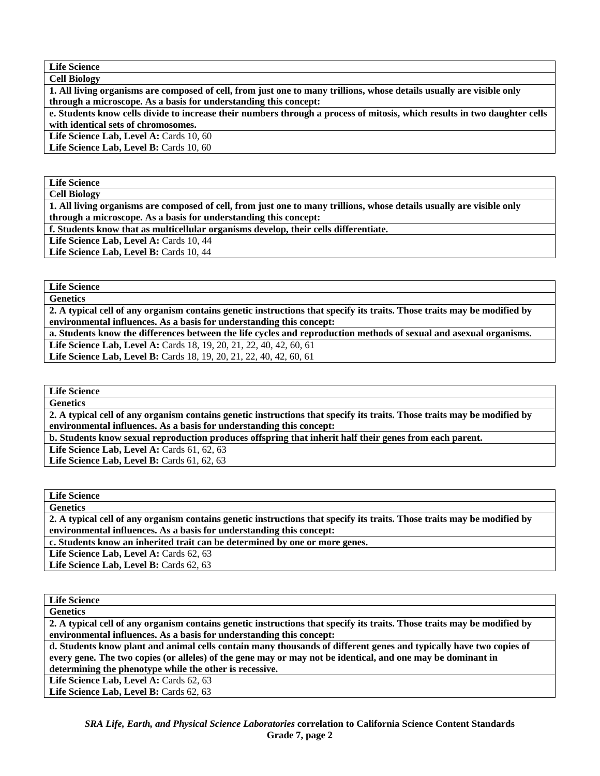**Life Science Cell Biology** 

**1. All living organisms are composed of cell, from just one to many trillions, whose details usually are visible only through a microscope. As a basis for understanding this concept:** 

**e. Students know cells divide to increase their numbers through a process of mitosis, which results in two daughter cells with identical sets of chromosomes.** 

Life Science Lab, Level A: Cards 10, 60

Life Science Lab, Level B: Cards 10, 60

**Life Science** 

**Cell Biology** 

**1. All living organisms are composed of cell, from just one to many trillions, whose details usually are visible only through a microscope. As a basis for understanding this concept:** 

**f. Students know that as multicellular organisms develop, their cells differentiate.** 

Life Science Lab, Level A: Cards 10, 44

Life Science Lab, Level B: Cards 10, 44

**Life Science Genetics** 

**2. A typical cell of any organism contains genetic instructions that specify its traits. Those traits may be modified by environmental influences. As a basis for understanding this concept:** 

**a. Students know the differences between the life cycles and reproduction methods of sexual and asexual organisms.** 

Life Science Lab, Level A: Cards 18, 19, 20, 21, 22, 40, 42, 60, 61 Life Science Lab, Level B: Cards 18, 19, 20, 21, 22, 40, 42, 60, 61

**Life Science** 

**Genetics** 

**2. A typical cell of any organism contains genetic instructions that specify its traits. Those traits may be modified by environmental influences. As a basis for understanding this concept:** 

**b. Students know sexual reproduction produces offspring that inherit half their genes from each parent.** 

**Life Science Lab, Level A: Cards 61, 62, 63** 

**Life Science Lab, Level B: Cards 61, 62, 63** 

**Life Science** 

**Genetics** 

**2. A typical cell of any organism contains genetic instructions that specify its traits. Those traits may be modified by environmental influences. As a basis for understanding this concept:** 

**c. Students know an inherited trait can be determined by one or more genes.** 

Life Science Lab, Level A: Cards 62, 63

Life Science Lab, Level B: Cards 62, 63

| <b>Life Science</b>                                                                                                      |
|--------------------------------------------------------------------------------------------------------------------------|
| <b>Genetics</b>                                                                                                          |
| 2. A typical cell of any organism contains genetic instructions that specify its traits. Those traits may be modified by |
| environmental influences. As a basis for understanding this concept:                                                     |
| d. Students know plant and animal cells contain many thousands of different genes and typically have two copies of       |
| every gene. The two copies (or alleles) of the gene may or may not be identical, and one may be dominant in              |
| determining the phenotype while the other is recessive.                                                                  |

Life Science Lab, Level A: Cards 62, 63

Life Science Lab, Level B: Cards 62, 63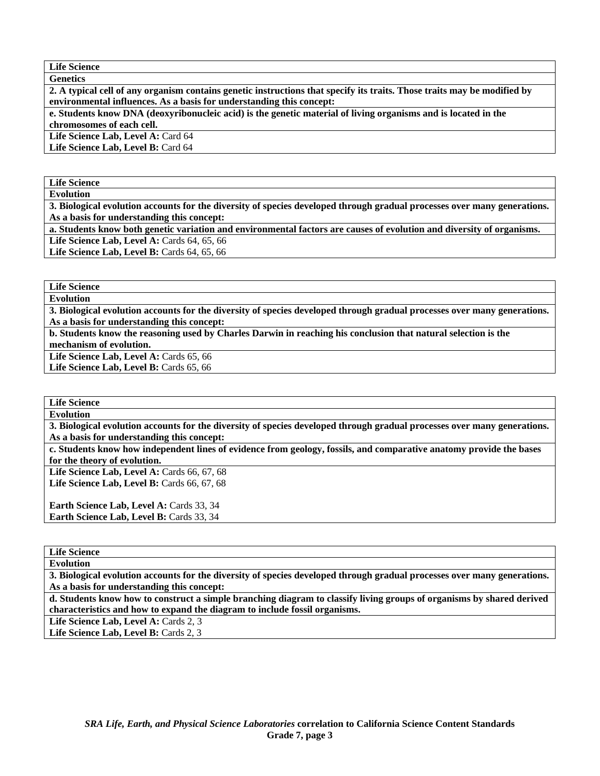**Life Science Genetics** 

**2. A typical cell of any organism contains genetic instructions that specify its traits. Those traits may be modified by environmental influences. As a basis for understanding this concept:** 

**e. Students know DNA (deoxyribonucleic acid) is the genetic material of living organisms and is located in the chromosomes of each cell.** 

Life Science Lab, Level A: Card 64

**Life Science Lab, Level B:** Card 64

**Life Science** 

**Evolution** 

**3. Biological evolution accounts for the diversity of species developed through gradual processes over many generations. As a basis for understanding this concept:** 

**a. Students know both genetic variation and environmental factors are causes of evolution and diversity of organisms. Life Science Lab, Level A: Cards 64, 65, 66** 

Life Science Lab. Level B: Cards 64, 65, 66

**Life Science** 

**Evolution** 

**3. Biological evolution accounts for the diversity of species developed through gradual processes over many generations. As a basis for understanding this concept:** 

**b. Students know the reasoning used by Charles Darwin in reaching his conclusion that natural selection is the mechanism of evolution.** 

Life Science Lab, Level A: Cards 65, 66

Life Science Lab, Level B: Cards 65, 66

**Life Science** 

**Evolution** 

**3. Biological evolution accounts for the diversity of species developed through gradual processes over many generations. As a basis for understanding this concept:** 

**c. Students know how independent lines of evidence from geology, fossils, and comparative anatomy provide the bases for the theory of evolution.** 

Life Science Lab, Level A: Cards 66, 67, 68 **Life Science Lab, Level B: Cards 66, 67, 68** 

Earth Science Lab, Level A: Cards 33, 34 Earth Science Lab, Level B: Cards 33, 34

**Life Science Evolution** 

**3. Biological evolution accounts for the diversity of species developed through gradual processes over many generations. As a basis for understanding this concept:** 

**d. Students know how to construct a simple branching diagram to classify living groups of organisms by shared derived characteristics and how to expand the diagram to include fossil organisms.** 

Life Science Lab, Level A: Cards 2, 3

Life Science Lab, Level B: Cards 2, 3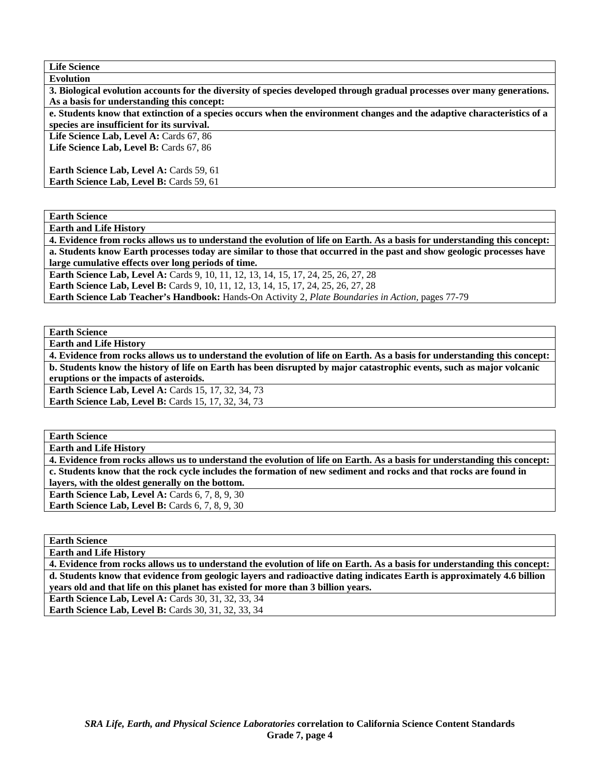**Life Science Evolution 3. Biological evolution accounts for the diversity of species developed through gradual processes over many generations. As a basis for understanding this concept: e. Students know that extinction of a species occurs when the environment changes and the adaptive characteristics of a species are insufficient for its survival.**  Life Science Lab, Level A: Cards 67, 86 Life Science Lab, Level B: Cards 67, 86 **Earth Science Lab, Level A: Cards 59, 61 Earth Science Lab, Level B: Cards 59, 61** 

**Earth Science** 

**Earth and Life History** 

**4. Evidence from rocks allows us to understand the evolution of life on Earth. As a basis for understanding this concept: a. Students know Earth processes today are similar to those that occurred in the past and show geologic processes have large cumulative effects over long periods of time.** 

**Earth Science Lab, Level A:** Cards 9, 10, 11, 12, 13, 14, 15, 17, 24, 25, 26, 27, 28 **Earth Science Lab, Level B:** Cards 9, 10, 11, 12, 13, 14, 15, 17, 24, 25, 26, 27, 28 **Earth Science Lab Teacher's Handbook:** Hands-On Activity 2, *Plate Boundaries in Action,* pages 77-79

**Earth Science** 

**Earth and Life History** 

**4. Evidence from rocks allows us to understand the evolution of life on Earth. As a basis for understanding this concept: b. Students know the history of life on Earth has been disrupted by major catastrophic events, such as major volcanic eruptions or the impacts of asteroids.**  Earth Science Lab, Level A: Cards 15, 17, 32, 34, 73 **Earth Science Lab, Level B: Cards 15, 17, 32, 34, 73** 

**Earth Science** 

**Earth and Life History** 

**4. Evidence from rocks allows us to understand the evolution of life on Earth. As a basis for understanding this concept: c. Students know that the rock cycle includes the formation of new sediment and rocks and that rocks are found in layers, with the oldest generally on the bottom. Earth Science Lab, Level A: Cards 6, 7, 8, 9, 30 Earth Science Lab, Level B: Cards 6, 7, 8, 9, 30** 

**Earth Science** 

**Earth and Life History** 

**4. Evidence from rocks allows us to understand the evolution of life on Earth. As a basis for understanding this concept: d. Students know that evidence from geologic layers and radioactive dating indicates Earth is approximately 4.6 billion years old and that life on this planet has existed for more than 3 billion years.** 

**Earth Science Lab, Level A: Cards 30, 31, 32, 33, 34** 

**Earth Science Lab, Level B: Cards 30, 31, 32, 33, 34**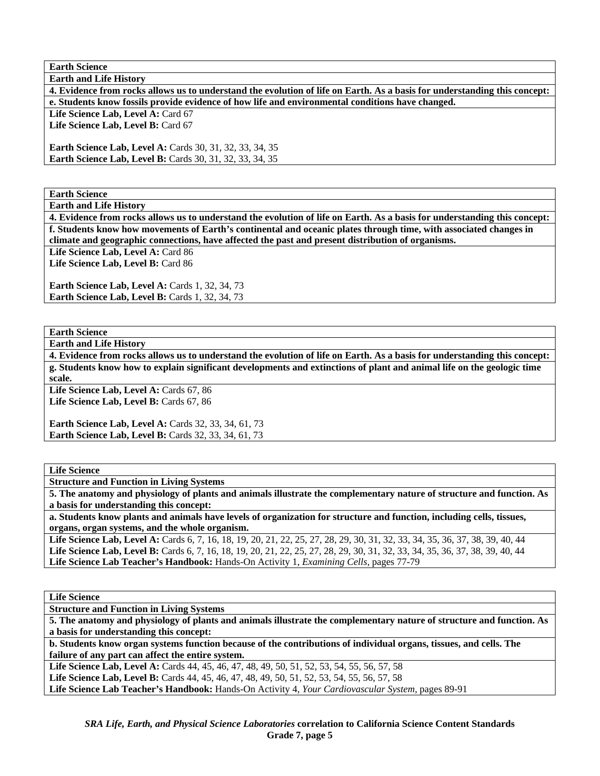**Earth Science** 

**Earth and Life History** 

**4. Evidence from rocks allows us to understand the evolution of life on Earth. As a basis for understanding this concept: e. Students know fossils provide evidence of how life and environmental conditions have changed.** 

Life Science Lab, Level A: Card 67

Life Science Lab, Level B: Card 67

**Earth Science Lab, Level A: Cards 30, 31, 32, 33, 34, 35 Earth Science Lab, Level B:** Cards 30, 31, 32, 33, 34, 35

**Earth Science** 

**Earth and Life History** 

**4. Evidence from rocks allows us to understand the evolution of life on Earth. As a basis for understanding this concept: f. Students know how movements of Earth's continental and oceanic plates through time, with associated changes in climate and geographic connections, have affected the past and present distribution of organisms.** 

Life Science Lab, Level A: Card 86

Life Science Lab, Level B: Card 86

**Earth Science Lab, Level A: Cards 1, 32, 34, 73 Earth Science Lab, Level B: Cards 1, 32, 34, 73** 

**Earth Science** 

**Earth and Life History** 

**4. Evidence from rocks allows us to understand the evolution of life on Earth. As a basis for understanding this concept: g. Students know how to explain significant developments and extinctions of plant and animal life on the geologic time scale.** 

Life Science Lab, Level A: Cards 67, 86 Life Science Lab, Level B: Cards 67, 86

**Earth Science Lab, Level A: Cards 32, 33, 34, 61, 73 Earth Science Lab, Level B:** Cards 32, 33, 34, 61, 73

**Life Science** 

**Structure and Function in Living Systems** 

**5. The anatomy and physiology of plants and animals illustrate the complementary nature of structure and function. As a basis for understanding this concept:** 

**a. Students know plants and animals have levels of organization for structure and function, including cells, tissues, organs, organ systems, and the whole organism.** 

Life Science Lab, Level A: Cards 6, 7, 16, 18, 19, 20, 21, 22, 25, 27, 28, 29, 30, 31, 32, 33, 34, 35, 36, 37, 38, 39, 40, 44 Life Science Lab, Level B: Cards 6, 7, 16, 18, 19, 20, 21, 22, 25, 27, 28, 29, 30, 31, 32, 33, 34, 35, 36, 37, 38, 39, 40, 44 **Life Science Lab Teacher's Handbook:** Hands-On Activity 1, *Examining Cells,* pages 77-79

**Life Science** 

**Structure and Function in Living Systems** 

**5. The anatomy and physiology of plants and animals illustrate the complementary nature of structure and function. As a basis for understanding this concept:** 

**b. Students know organ systems function because of the contributions of individual organs, tissues, and cells. The failure of any part can affect the entire system.** 

Life Science Lab, Level A: Cards 44, 45, 46, 47, 48, 49, 50, 51, 52, 53, 54, 55, 56, 57, 58

**Life Science Lab, Level B:** Cards 44, 45, 46, 47, 48, 49, 50, 51, 52, 53, 54, 55, 56, 57, 58

**Life Science Lab Teacher's Handbook:** Hands-On Activity 4, *Your Cardiovascular System,* pages 89-91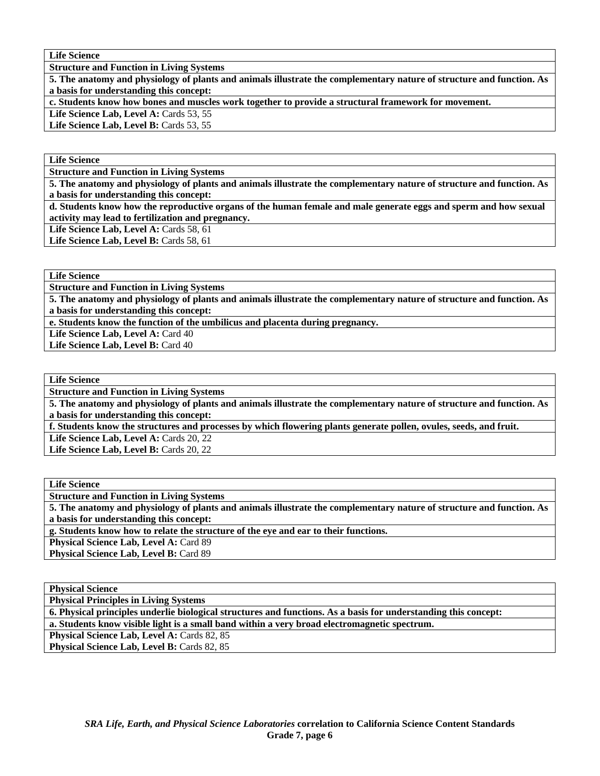**Life Science** 

**Structure and Function in Living Systems** 

**5. The anatomy and physiology of plants and animals illustrate the complementary nature of structure and function. As a basis for understanding this concept:** 

**c. Students know how bones and muscles work together to provide a structural framework for movement.** 

Life Science Lab, Level A: Cards 53, 55

Life Science Lab, Level B: Cards 53, 55

**Life Science** 

**Structure and Function in Living Systems** 

**5. The anatomy and physiology of plants and animals illustrate the complementary nature of structure and function. As a basis for understanding this concept:** 

**d. Students know how the reproductive organs of the human female and male generate eggs and sperm and how sexual activity may lead to fertilization and pregnancy.** 

Life Science Lab, Level A: Cards 58, 61

Life Science Lab, Level B: Cards 58, 61

**Life Science** 

**Structure and Function in Living Systems** 

**5. The anatomy and physiology of plants and animals illustrate the complementary nature of structure and function. As a basis for understanding this concept:** 

**e. Students know the function of the umbilicus and placenta during pregnancy.** 

Life Science Lab, Level A: Card 40 Life Science Lab, Level B: Card 40

**Life Science** 

**Structure and Function in Living Systems** 

**5. The anatomy and physiology of plants and animals illustrate the complementary nature of structure and function. As a basis for understanding this concept:** 

**f. Students know the structures and processes by which flowering plants generate pollen, ovules, seeds, and fruit.** 

Life Science Lab, Level A: Cards 20, 22

Life Science Lab, Level B: Cards 20, 22

**Life Science Structure and Function in Living Systems 5. The anatomy and physiology of plants and animals illustrate the complementary nature of structure and function. As a basis for understanding this concept: g. Students know how to relate the structure of the eye and ear to their functions.** 

Physical Science Lab, Level A: Card 89

Physical Science Lab, Level B: Card 89

**Physical Science** 

**Physical Principles in Living Systems** 

**6. Physical principles underlie biological structures and functions. As a basis for understanding this concept:** 

**a. Students know visible light is a small band within a very broad electromagnetic spectrum.** 

Physical Science Lab, Level A: Cards 82, 85

Physical Science Lab, Level B: Cards 82, 85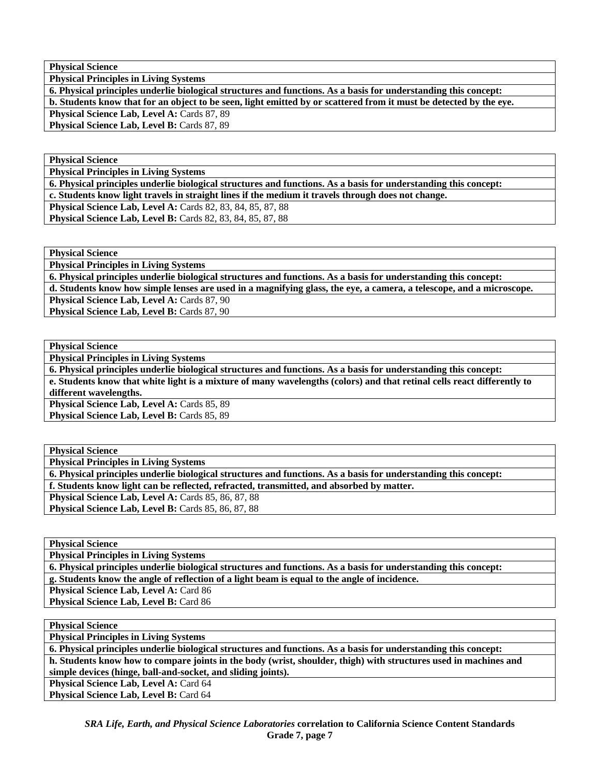**Physical Principles in Living Systems** 

**6. Physical principles underlie biological structures and functions. As a basis for understanding this concept: b. Students know that for an object to be seen, light emitted by or scattered from it must be detected by the eye.**  Physical Science Lab, Level A: Cards 87, 89 Physical Science Lab, Level B: Cards 87, 89

**Physical Science** 

**Physical Principles in Living Systems** 

**6. Physical principles underlie biological structures and functions. As a basis for understanding this concept:** 

**c. Students know light travels in straight lines if the medium it travels through does not change.** 

**Physical Science Lab, Level A: Cards 82, 83, 84, 85, 87, 88 Physical Science Lab, Level B:** Cards 82, 83, 84, 85, 87, 88

**Physical Science** 

**Physical Principles in Living Systems** 

**6. Physical principles underlie biological structures and functions. As a basis for understanding this concept:** 

**d. Students know how simple lenses are used in a magnifying glass, the eye, a camera, a telescope, and a microscope.** 

**Physical Science Lab, Level A: Cards 87, 90** 

Physical Science Lab, Level B: Cards 87, 90

**Physical Science** 

**Physical Principles in Living Systems** 

**6. Physical principles underlie biological structures and functions. As a basis for understanding this concept:** 

**e. Students know that white light is a mixture of many wavelengths (colors) and that retinal cells react differently to different wavelengths.** 

Physical Science Lab, Level A: Cards 85, 89 Physical Science Lab, Level B: Cards 85, 89

**Physical Science** 

**Physical Principles in Living Systems** 

**6. Physical principles underlie biological structures and functions. As a basis for understanding this concept:** 

**f. Students know light can be reflected, refracted, transmitted, and absorbed by matter.** 

**Physical Science Lab, Level A: Cards 85, 86, 87, 88** Physical Science Lab, Level B: Cards 85, 86, 87, 88

**Physical Science** 

**Physical Principles in Living Systems** 

**6. Physical principles underlie biological structures and functions. As a basis for understanding this concept:** 

**g. Students know the angle of reflection of a light beam is equal to the angle of incidence.** 

**Physical Science Lab, Level A: Card 86** 

Physical Science Lab, Level B: Card 86

**Physical Science** 

**Physical Principles in Living Systems** 

**6. Physical principles underlie biological structures and functions. As a basis for understanding this concept: h. Students know how to compare joints in the body (wrist, shoulder, thigh) with structures used in machines and** 

**simple devices (hinge, ball-and-socket, and sliding joints).** 

Physical Science Lab, Level A: Card 64

Physical Science Lab, Level B: Card 64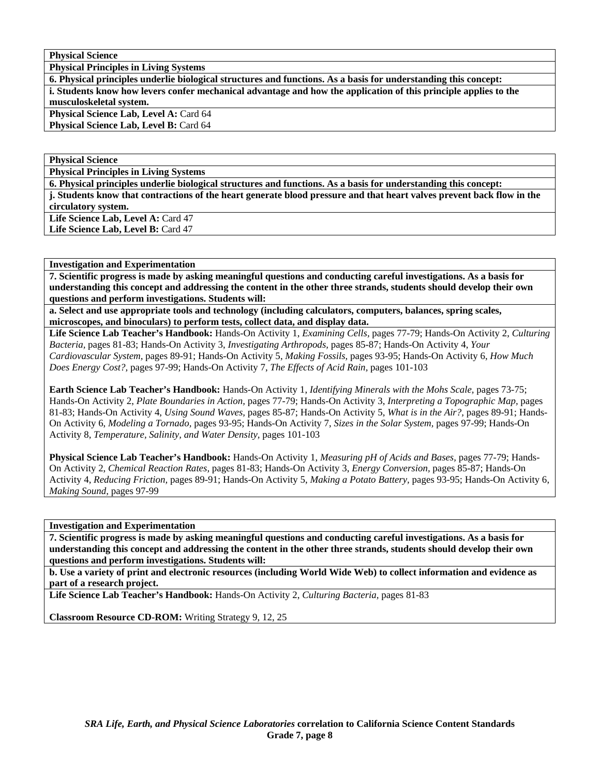**Physical Principles in Living Systems** 

**6. Physical principles underlie biological structures and functions. As a basis for understanding this concept: i. Students know how levers confer mechanical advantage and how the application of this principle applies to the musculoskeletal system. Physical Science Lab, Level A: Card 64** 

Physical Science Lab, Level B: Card 64

**Physical Science** 

**Physical Principles in Living Systems** 

**6. Physical principles underlie biological structures and functions. As a basis for understanding this concept: j. Students know that contractions of the heart generate blood pressure and that heart valves prevent back flow in the circulatory system.** 

Life Science Lab, Level A: Card 47 Life Science Lab, Level B: Card 47

#### **Investigation and Experimentation**

**7. Scientific progress is made by asking meaningful questions and conducting careful investigations. As a basis for understanding this concept and addressing the content in the other three strands, students should develop their own questions and perform investigations. Students will:** 

**a. Select and use appropriate tools and technology (including calculators, computers, balances, spring scales, microscopes, and binoculars) to perform tests, collect data, and display data.** 

**Life Science Lab Teacher's Handbook:** Hands-On Activity 1, *Examining Cells,* pages 77-79; Hands-On Activity 2, *Culturing Bacteria,* pages 81-83; Hands-On Activity 3, *Investigating Arthropods,* pages 85-87; Hands-On Activity 4, *Your Cardiovascular System,* pages 89-91; Hands-On Activity 5, *Making Fossils,* pages 93-95; Hands-On Activity 6, *How Much Does Energy Cost?,* pages 97-99; Hands-On Activity 7, *The Effects of Acid Rain,* pages 101-103

**Earth Science Lab Teacher's Handbook:** Hands-On Activity 1, *Identifying Minerals with the Mohs Scale,* pages 73-75; Hands-On Activity 2, *Plate Boundaries in Action,* pages 77-79; Hands-On Activity 3, *Interpreting a Topographic Map,* pages 81-83; Hands-On Activity 4, *Using Sound Waves,* pages 85-87; Hands-On Activity 5, *What is in the Air?,* pages 89-91; Hands-On Activity 6, *Modeling a Tornado,* pages 93-95; Hands-On Activity 7, *Sizes in the Solar System,* pages 97-99; Hands-On Activity 8, *Temperature, Salinity, and Water Density,* pages 101-103

**Physical Science Lab Teacher's Handbook:** Hands-On Activity 1, *Measuring pH of Acids and Bases,* pages 77-79; Hands-On Activity 2, *Chemical Reaction Rates,* pages 81-83; Hands-On Activity 3, *Energy Conversion,* pages 85-87; Hands-On Activity 4, *Reducing Friction,* pages 89-91; Hands-On Activity 5, *Making a Potato Battery,* pages 93-95; Hands-On Activity 6, *Making Sound,* pages 97-99

**Investigation and Experimentation** 

**7. Scientific progress is made by asking meaningful questions and conducting careful investigations. As a basis for understanding this concept and addressing the content in the other three strands, students should develop their own questions and perform investigations. Students will:** 

**b. Use a variety of print and electronic resources (including World Wide Web) to collect information and evidence as part of a research project.** 

**Life Science Lab Teacher's Handbook:** Hands-On Activity 2, *Culturing Bacteria,* pages 81-83

**Classroom Resource CD-ROM:** Writing Strategy 9, 12, 25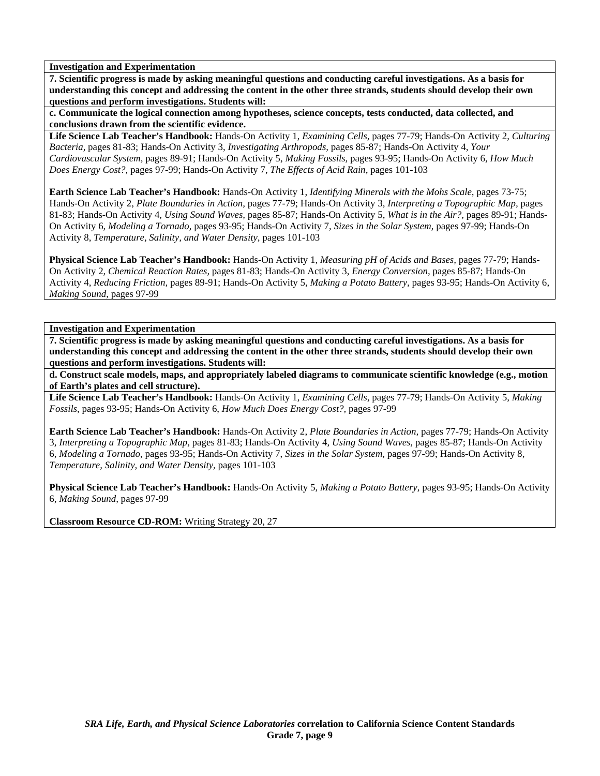**7. Scientific progress is made by asking meaningful questions and conducting careful investigations. As a basis for understanding this concept and addressing the content in the other three strands, students should develop their own questions and perform investigations. Students will:** 

**c. Communicate the logical connection among hypotheses, science concepts, tests conducted, data collected, and conclusions drawn from the scientific evidence.** 

**Life Science Lab Teacher's Handbook:** Hands-On Activity 1, *Examining Cells,* pages 77-79; Hands-On Activity 2, *Culturing Bacteria,* pages 81-83; Hands-On Activity 3, *Investigating Arthropods,* pages 85-87; Hands-On Activity 4, *Your Cardiovascular System,* pages 89-91; Hands-On Activity 5, *Making Fossils,* pages 93-95; Hands-On Activity 6, *How Much Does Energy Cost?,* pages 97-99; Hands-On Activity 7, *The Effects of Acid Rain,* pages 101-103

**Earth Science Lab Teacher's Handbook:** Hands-On Activity 1, *Identifying Minerals with the Mohs Scale,* pages 73-75; Hands-On Activity 2, *Plate Boundaries in Action,* pages 77-79; Hands-On Activity 3, *Interpreting a Topographic Map,* pages 81-83; Hands-On Activity 4, *Using Sound Waves,* pages 85-87; Hands-On Activity 5, *What is in the Air?,* pages 89-91; Hands-On Activity 6, *Modeling a Tornado,* pages 93-95; Hands-On Activity 7, *Sizes in the Solar System,* pages 97-99; Hands-On Activity 8, *Temperature, Salinity, and Water Density,* pages 101-103

**Physical Science Lab Teacher's Handbook:** Hands-On Activity 1, *Measuring pH of Acids and Bases,* pages 77-79; Hands-On Activity 2, *Chemical Reaction Rates,* pages 81-83; Hands-On Activity 3, *Energy Conversion,* pages 85-87; Hands-On Activity 4, *Reducing Friction,* pages 89-91; Hands-On Activity 5, *Making a Potato Battery,* pages 93-95; Hands-On Activity 6, *Making Sound,* pages 97-99

**Investigation and Experimentation** 

**7. Scientific progress is made by asking meaningful questions and conducting careful investigations. As a basis for understanding this concept and addressing the content in the other three strands, students should develop their own questions and perform investigations. Students will:** 

**d. Construct scale models, maps, and appropriately labeled diagrams to communicate scientific knowledge (e.g., motion of Earth's plates and cell structure).** 

**Life Science Lab Teacher's Handbook:** Hands-On Activity 1, *Examining Cells,* pages 77-79; Hands-On Activity 5, *Making Fossils,* pages 93-95; Hands-On Activity 6, *How Much Does Energy Cost?,* pages 97-99

**Earth Science Lab Teacher's Handbook:** Hands-On Activity 2, *Plate Boundaries in Action,* pages 77-79; Hands-On Activity 3, *Interpreting a Topographic Map,* pages 81-83; Hands-On Activity 4, *Using Sound Waves,* pages 85-87; Hands-On Activity 6, *Modeling a Tornado,* pages 93-95; Hands-On Activity 7, *Sizes in the Solar System,* pages 97-99; Hands-On Activity 8, *Temperature, Salinity, and Water Density,* pages 101-103

**Physical Science Lab Teacher's Handbook:** Hands-On Activity 5, *Making a Potato Battery,* pages 93-95; Hands-On Activity 6, *Making Sound,* pages 97-99

**Classroom Resource CD-ROM:** Writing Strategy 20, 27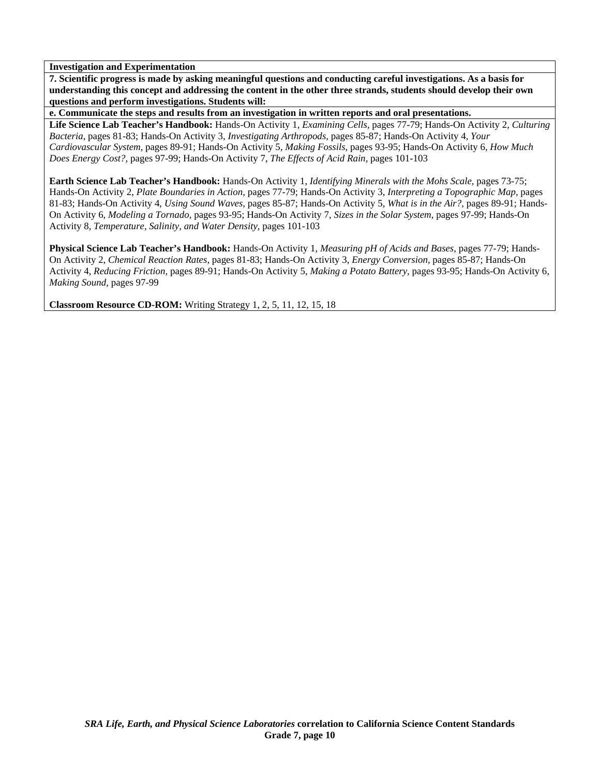**7. Scientific progress is made by asking meaningful questions and conducting careful investigations. As a basis for understanding this concept and addressing the content in the other three strands, students should develop their own questions and perform investigations. Students will:** 

**e. Communicate the steps and results from an investigation in written reports and oral presentations.** 

**Life Science Lab Teacher's Handbook:** Hands-On Activity 1, *Examining Cells,* pages 77-79; Hands-On Activity 2, *Culturing Bacteria,* pages 81-83; Hands-On Activity 3, *Investigating Arthropods,* pages 85-87; Hands-On Activity 4, *Your Cardiovascular System,* pages 89-91; Hands-On Activity 5, *Making Fossils,* pages 93-95; Hands-On Activity 6, *How Much Does Energy Cost?,* pages 97-99; Hands-On Activity 7, *The Effects of Acid Rain,* pages 101-103

**Earth Science Lab Teacher's Handbook:** Hands-On Activity 1, *Identifying Minerals with the Mohs Scale,* pages 73-75; Hands-On Activity 2, *Plate Boundaries in Action,* pages 77-79; Hands-On Activity 3, *Interpreting a Topographic Map,* pages 81-83; Hands-On Activity 4, *Using Sound Waves,* pages 85-87; Hands-On Activity 5, *What is in the Air?,* pages 89-91; Hands-On Activity 6, *Modeling a Tornado,* pages 93-95; Hands-On Activity 7, *Sizes in the Solar System,* pages 97-99; Hands-On Activity 8, *Temperature, Salinity, and Water Density,* pages 101-103

**Physical Science Lab Teacher's Handbook:** Hands-On Activity 1, *Measuring pH of Acids and Bases,* pages 77-79; Hands-On Activity 2, *Chemical Reaction Rates,* pages 81-83; Hands-On Activity 3, *Energy Conversion,* pages 85-87; Hands-On Activity 4, *Reducing Friction,* pages 89-91; Hands-On Activity 5, *Making a Potato Battery,* pages 93-95; Hands-On Activity 6, *Making Sound,* pages 97-99

**Classroom Resource CD-ROM:** Writing Strategy 1, 2, 5, 11, 12, 15, 18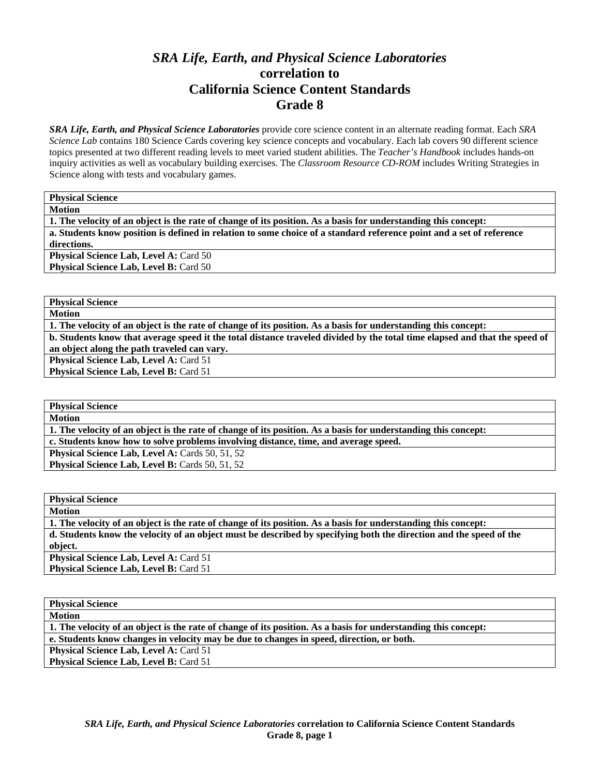# *SRA Life, Earth, and Physical Science Laboratories*  **correlation to California Science Content Standards Grade 8**

*SRA Life, Earth, and Physical Science Laboratories* provide core science content in an alternate reading format. Each *SRA Science Lab* contains 180 Science Cards covering key science concepts and vocabulary. Each lab covers 90 different science topics presented at two different reading levels to meet varied student abilities. The *Teacher's Handbook* includes hands-on inquiry activities as well as vocabulary building exercises. The *Classroom Resource CD-ROM* includes Writing Strategies in Science along with tests and vocabulary games.

**Physical Science** 

**Motion** 

**1. The velocity of an object is the rate of change of its position. As a basis for understanding this concept: a. Students know position is defined in relation to some choice of a standard reference point and a set of reference directions.** 

**Physical Science Lab, Level A: Card 50 Physical Science Lab, Level B: Card 50** 

**Physical Science** 

**Motion** 

**1. The velocity of an object is the rate of change of its position. As a basis for understanding this concept: b. Students know that average speed it the total distance traveled divided by the total time elapsed and that the speed of** 

**an object along the path traveled can vary.**  Physical Science Lab, Level A: Card 51

Physical Science Lab, Level B: Card 51

**Physical Science** 

**Motion** 

**1. The velocity of an object is the rate of change of its position. As a basis for understanding this concept:** 

**c. Students know how to solve problems involving distance, time, and average speed.** 

Physical Science Lab, Level A: Cards 50, 51, 52

Physical Science Lab, Level B: Cards 50, 51, 52

**Physical Science Motion 1. The velocity of an object is the rate of change of its position. As a basis for understanding this concept: d. Students know the velocity of an object must be described by specifying both the direction and the speed of the object. Physical Science Lab, Level A: Card 51 Physical Science Lab, Level B: Card 51** 

| <b>Physical Science</b>                                                                                        |  |  |
|----------------------------------------------------------------------------------------------------------------|--|--|
| <b>Motion</b>                                                                                                  |  |  |
| 1. The velocity of an object is the rate of change of its position. As a basis for understanding this concept: |  |  |
| e. Students know changes in velocity may be due to changes in speed, direction, or both.                       |  |  |
| <b>Physical Science Lab, Level A: Card 51</b>                                                                  |  |  |
| <b>Physical Science Lab, Level B: Card 51</b>                                                                  |  |  |
|                                                                                                                |  |  |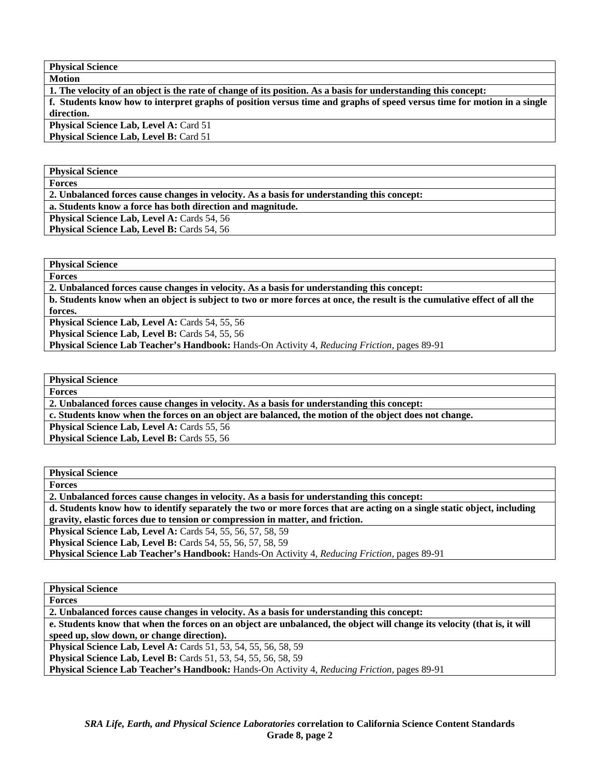**Physical Science Motion** 

**1. The velocity of an object is the rate of change of its position. As a basis for understanding this concept:** 

**f. Students know how to interpret graphs of position versus time and graphs of speed versus time for motion in a single direction.** 

**Physical Science Lab, Level A: Card 51 Physical Science Lab, Level B: Card 51** 

**Physical Science** 

**Forces** 

**2. Unbalanced forces cause changes in velocity. As a basis for understanding this concept:** 

**a. Students know a force has both direction and magnitude.** 

**Physical Science Lab, Level A: Cards 54, 56** 

**Physical Science Lab, Level B: Cards 54, 56** 

**Physical Science** 

**Forces** 

**2. Unbalanced forces cause changes in velocity. As a basis for understanding this concept:** 

**b. Students know when an object is subject to two or more forces at once, the result is the cumulative effect of all the forces.** 

Physical Science Lab, Level A: Cards 54, 55, 56

Physical Science Lab, Level B: Cards 54, 55, 56

**Physical Science Lab Teacher's Handbook:** Hands-On Activity 4, *Reducing Friction,* pages 89-91

**Physical Science** 

**Forces** 

**2. Unbalanced forces cause changes in velocity. As a basis for understanding this concept:** 

**c. Students know when the forces on an object are balanced, the motion of the object does not change.** 

**Physical Science Lab, Level A: Cards 55, 56** 

Physical Science Lab, Level B: Cards 55, 56

**Physical Science Forces 2. Unbalanced forces cause changes in velocity. As a basis for understanding this concept: d. Students know how to identify separately the two or more forces that are acting on a single static object, including gravity, elastic forces due to tension or compression in matter, and friction. Physical Science Lab, Level A:** Cards 54, 55, 56, 57, 58, 59 **Physical Science Lab, Level B:** Cards 54, 55, 56, 57, 58, 59 **Physical Science Lab Teacher's Handbook:** Hands-On Activity 4, *Reducing Friction,* pages 89-91

**Physical Science Forces 2. Unbalanced forces cause changes in velocity. As a basis for understanding this concept: e. Students know that when the forces on an object are unbalanced, the object will change its velocity (that is, it will speed up, slow down, or change direction). Physical Science Lab, Level A:** Cards 51, 53, 54, 55, 56, 58, 59 **Physical Science Lab, Level B:** Cards 51, 53, 54, 55, 56, 58, 59 **Physical Science Lab Teacher's Handbook:** Hands-On Activity 4, *Reducing Friction,* pages 89-91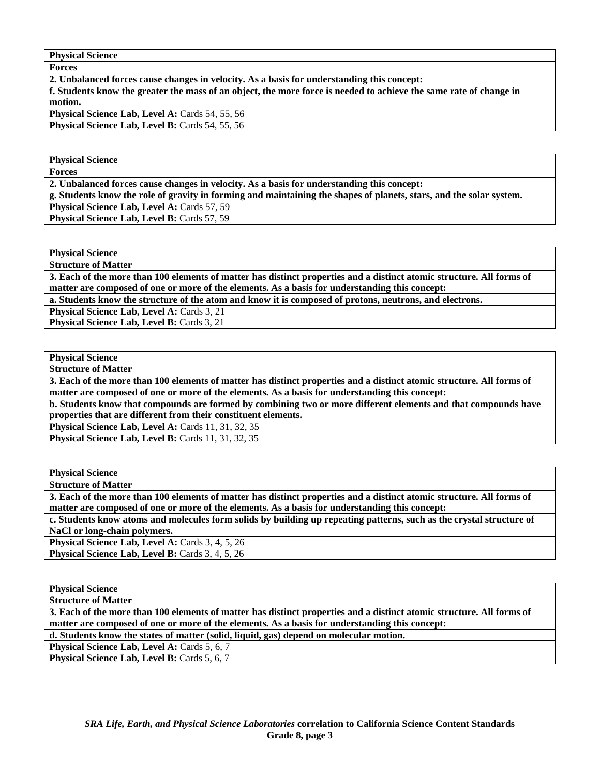| <b>Physical Science</b> |  |
|-------------------------|--|
|-------------------------|--|

**2. Unbalanced forces cause changes in velocity. As a basis for understanding this concept: f. Students know the greater the mass of an object, the more force is needed to achieve the same rate of change in motion.**  Physical Science Lab, Level A: Cards 54, 55, 56 Physical Science Lab, Level B: Cards 54, 55, 56

**Physical Science Forces** 

**2. Unbalanced forces cause changes in velocity. As a basis for understanding this concept:** 

**g. Students know the role of gravity in forming and maintaining the shapes of planets, stars, and the solar system.** 

**Physical Science Lab, Level A: Cards 57, 59** 

**Physical Science Lab, Level B: Cards 57, 59** 

**Physical Science** 

**Structure of Matter** 

**3. Each of the more than 100 elements of matter has distinct properties and a distinct atomic structure. All forms of matter are composed of one or more of the elements. As a basis for understanding this concept:** 

**a. Students know the structure of the atom and know it is composed of protons, neutrons, and electrons.** 

**Physical Science Lab, Level A: Cards 3, 21** 

Physical Science Lab, Level B: Cards 3, 21

**Physical Science Structure of Matter** 

**3. Each of the more than 100 elements of matter has distinct properties and a distinct atomic structure. All forms of matter are composed of one or more of the elements. As a basis for understanding this concept:** 

**b. Students know that compounds are formed by combining two or more different elements and that compounds have properties that are different from their constituent elements.** 

**Physical Science Lab, Level A: Cards 11, 31, 32, 35** 

**Physical Science Lab, Level B:** Cards 11, 31, 32, 35

**Physical Science Structure of Matter** 

**3. Each of the more than 100 elements of matter has distinct properties and a distinct atomic structure. All forms of matter are composed of one or more of the elements. As a basis for understanding this concept:** 

**c. Students know atoms and molecules form solids by building up repeating patterns, such as the crystal structure of NaCl or long-chain polymers.** 

Physical Science Lab, Level A: Cards 3, 4, 5, 26 **Physical Science Lab, Level B:** Cards 3, 4, 5, 26

**Physical Science** 

**Structure of Matter** 

**3. Each of the more than 100 elements of matter has distinct properties and a distinct atomic structure. All forms of matter are composed of one or more of the elements. As a basis for understanding this concept:** 

**d. Students know the states of matter (solid, liquid, gas) depend on molecular motion.** 

Physical Science Lab, Level A: Cards 5, 6, 7

Physical Science Lab, Level B: Cards 5, 6, 7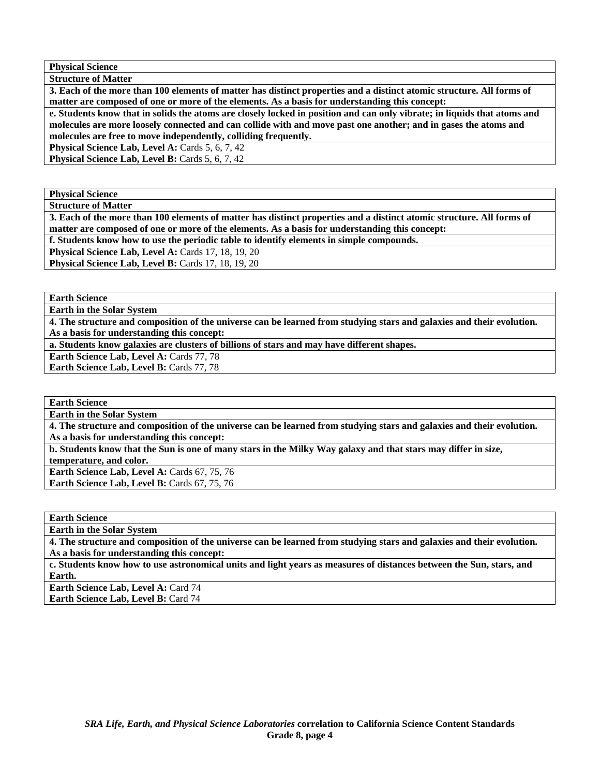**Physical Science Structure of Matter** 

**3. Each of the more than 100 elements of matter has distinct properties and a distinct atomic structure. All forms of matter are composed of one or more of the elements. As a basis for understanding this concept:** 

**e. Students know that in solids the atoms are closely locked in position and can only vibrate; in liquids that atoms and molecules are more loosely connected and can collide with and move past one another; and in gases the atoms and molecules are free to move independently, colliding frequently.** 

**Physical Science Lab, Level A: Cards 5, 6, 7, 42** 

**Physical Science Lab, Level B: Cards 5, 6, 7, 42** 

**Physical Science** 

**Structure of Matter** 

**3. Each of the more than 100 elements of matter has distinct properties and a distinct atomic structure. All forms of matter are composed of one or more of the elements. As a basis for understanding this concept:** 

**f. Students know how to use the periodic table to identify elements in simple compounds.** 

**Physical Science Lab, Level A: Cards 17, 18, 19, 20** 

**Physical Science Lab, Level B: Cards 17, 18, 19, 20** 

**Earth Science** 

**Earth in the Solar System** 

**4. The structure and composition of the universe can be learned from studying stars and galaxies and their evolution. As a basis for understanding this concept:** 

**a. Students know galaxies are clusters of billions of stars and may have different shapes.** 

Earth Science Lab, Level A: Cards 77, 78 **Earth Science Lab, Level B: Cards 77, 78** 

**Earth Science** 

**Earth in the Solar System** 

**4. The structure and composition of the universe can be learned from studying stars and galaxies and their evolution. As a basis for understanding this concept:** 

**b. Students know that the Sun is one of many stars in the Milky Way galaxy and that stars may differ in size, temperature, and color.** 

**Earth Science Lab, Level A: Cards 67, 75, 76 Earth Science Lab, Level B: Cards 67, 75, 76** 

**Earth Science** 

**Earth in the Solar System** 

**4. The structure and composition of the universe can be learned from studying stars and galaxies and their evolution. As a basis for understanding this concept:** 

**c. Students know how to use astronomical units and light years as measures of distances between the Sun, stars, and Earth.** 

**Earth Science Lab, Level A: Card 74 Earth Science Lab, Level B:** Card 74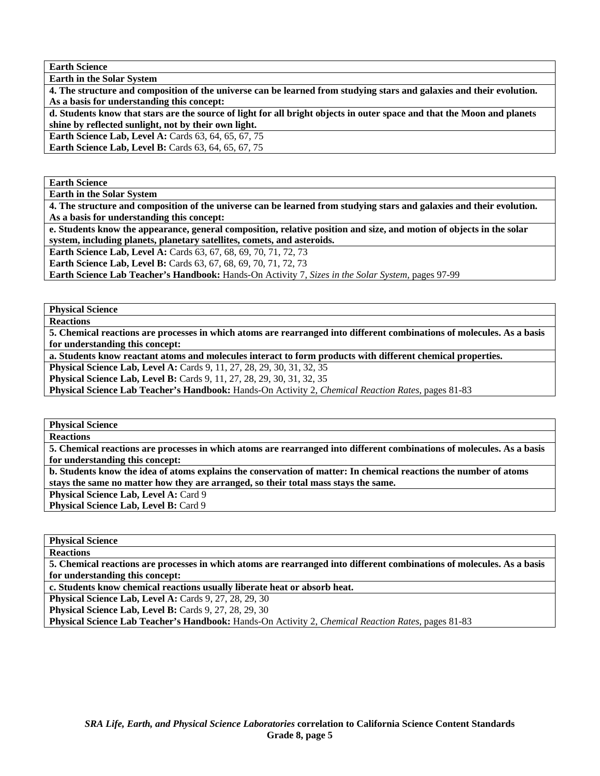**Earth Science** 

**Earth in the Solar System 4. The structure and composition of the universe can be learned from studying stars and galaxies and their evolution. As a basis for understanding this concept:** 

**d. Students know that stars are the source of light for all bright objects in outer space and that the Moon and planets shine by reflected sunlight, not by their own light.** 

**Earth Science Lab, Level A: Cards 63, 64, 65, 67, 75** 

**Earth Science Lab, Level B: Cards 63, 64, 65, 67, 75** 

**Earth Science** 

**Earth in the Solar System** 

**4. The structure and composition of the universe can be learned from studying stars and galaxies and their evolution. As a basis for understanding this concept:** 

**e. Students know the appearance, general composition, relative position and size, and motion of objects in the solar system, including planets, planetary satellites, comets, and asteroids.** 

**Earth Science Lab, Level A:** Cards 63, 67, 68, 69, 70, 71, 72, 73

**Earth Science Lab, Level B:** Cards 63, 67, 68, 69, 70, 71, 72, 73

**Earth Science Lab Teacher's Handbook:** Hands-On Activity 7, *Sizes in the Solar System,* pages 97-99

**Physical Science** 

**Reactions** 

**5. Chemical reactions are processes in which atoms are rearranged into different combinations of molecules. As a basis for understanding this concept:** 

**a. Students know reactant atoms and molecules interact to form products with different chemical properties.** 

**Physical Science Lab, Level A:** Cards 9, 11, 27, 28, 29, 30, 31, 32, 35

**Physical Science Lab, Level B:** Cards 9, 11, 27, 28, 29, 30, 31, 32, 35

**Physical Science Lab Teacher's Handbook:** Hands-On Activity 2, *Chemical Reaction Rates,* pages 81-83

**Physical Science** 

**Reactions** 

**5. Chemical reactions are processes in which atoms are rearranged into different combinations of molecules. As a basis for understanding this concept:** 

**b. Students know the idea of atoms explains the conservation of matter: In chemical reactions the number of atoms stays the same no matter how they are arranged, so their total mass stays the same.** 

**Physical Science Lab, Level A: Card 9** 

Physical Science Lab, Level B: Card 9

**Physical Science** 

**Reactions** 

**5. Chemical reactions are processes in which atoms are rearranged into different combinations of molecules. As a basis for understanding this concept:** 

**c. Students know chemical reactions usually liberate heat or absorb heat.** 

**Physical Science Lab, Level A: Cards 9, 27, 28, 29, 30** 

**Physical Science Lab, Level B: Cards 9, 27, 28, 29, 30** 

**Physical Science Lab Teacher's Handbook:** Hands-On Activity 2, *Chemical Reaction Rates,* pages 81-83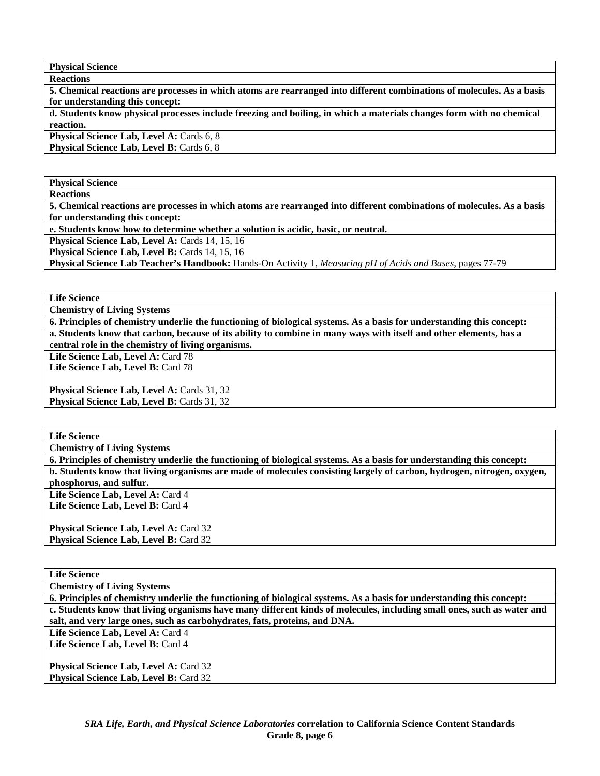**Reactions 5. Chemical reactions are processes in which atoms are rearranged into different combinations of molecules. As a basis for understanding this concept: d. Students know physical processes include freezing and boiling, in which a materials changes form with no chemical reaction.** 

**Physical Science Lab, Level A: Cards 6, 8 Physical Science Lab, Level B: Cards 6, 8** 

**Physical Science Reactions** 

**5. Chemical reactions are processes in which atoms are rearranged into different combinations of molecules. As a basis for understanding this concept:** 

**e. Students know how to determine whether a solution is acidic, basic, or neutral.** 

**Physical Science Lab, Level A: Cards 14, 15, 16** 

**Physical Science Lab, Level B: Cards 14, 15, 16** 

**Physical Science Lab Teacher's Handbook:** Hands-On Activity 1, *Measuring pH of Acids and Bases,* pages 77-79

**Life Science** 

**Chemistry of Living Systems** 

**6. Principles of chemistry underlie the functioning of biological systems. As a basis for understanding this concept: a. Students know that carbon, because of its ability to combine in many ways with itself and other elements, has a central role in the chemistry of living organisms.** 

Life Science Lab, Level A: Card 78 Life Science Lab, Level B: Card 78

**Physical Science Lab, Level A: Cards 31, 32** 

**Physical Science Lab, Level B: Cards 31, 32** 

**Life Science** 

**Chemistry of Living Systems** 

**6. Principles of chemistry underlie the functioning of biological systems. As a basis for understanding this concept: b. Students know that living organisms are made of molecules consisting largely of carbon, hydrogen, nitrogen, oxygen,** 

**phosphorus, and sulfur.**  Life Science Lab, Level A: Card 4

Life Science Lab, Level B: Card 4

**Physical Science Lab, Level A: Card 32** Physical Science Lab, Level B: Card 32

**Life Science** 

**Chemistry of Living Systems** 

**6. Principles of chemistry underlie the functioning of biological systems. As a basis for understanding this concept: c. Students know that living organisms have many different kinds of molecules, including small ones, such as water and salt, and very large ones, such as carbohydrates, fats, proteins, and DNA.** 

Life Science Lab, Level A: Card 4

Life Science Lab, Level B: Card 4

**Physical Science Lab, Level A: Card 32** Physical Science Lab, Level B: Card 32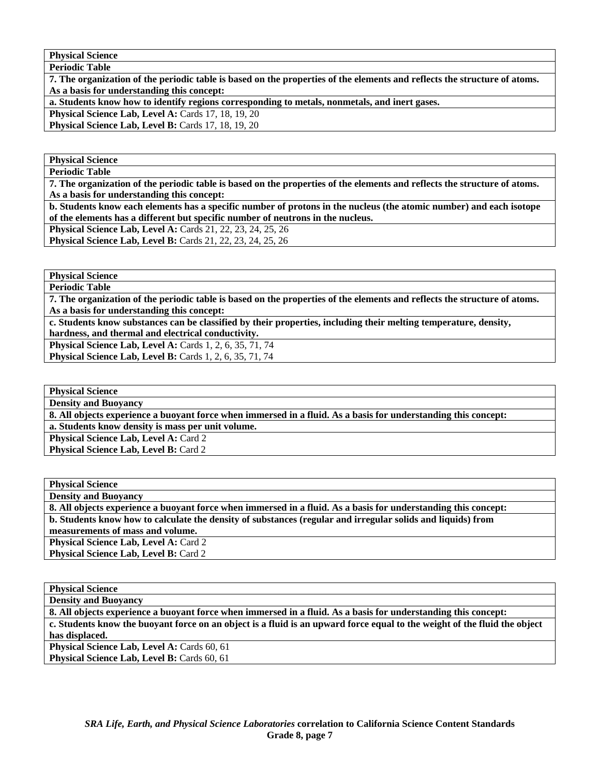**Periodic Table** 

**7. The organization of the periodic table is based on the properties of the elements and reflects the structure of atoms. As a basis for understanding this concept:** 

**a. Students know how to identify regions corresponding to metals, nonmetals, and inert gases.** 

**Physical Science Lab, Level A: Cards 17, 18, 19, 20** 

**Physical Science Lab, Level B: Cards 17, 18, 19, 20** 

**Physical Science Periodic Table** 

**7. The organization of the periodic table is based on the properties of the elements and reflects the structure of atoms. As a basis for understanding this concept:** 

**b. Students know each elements has a specific number of protons in the nucleus (the atomic number) and each isotope of the elements has a different but specific number of neutrons in the nucleus.** 

**Physical Science Lab, Level A:** Cards 21, 22, 23, 24, 25, 26

**Physical Science Lab, Level B:** Cards 21, 22, 23, 24, 25, 26

**Physical Science Periodic Table** 

**7. The organization of the periodic table is based on the properties of the elements and reflects the structure of atoms. As a basis for understanding this concept:** 

**c. Students know substances can be classified by their properties, including their melting temperature, density, hardness, and thermal and electrical conductivity.** 

**Physical Science Lab, Level A:** Cards 1, 2, 6, 35, 71, 74

**Physical Science Lab, Level B:** Cards 1, 2, 6, 35, 71, 74

**Physical Science** 

**Density and Buoyancy** 

**8. All objects experience a buoyant force when immersed in a fluid. As a basis for understanding this concept: a. Students know density is mass per unit volume.** 

Physical Science Lab, Level A: Card 2

**Physical Science Lab, Level B: Card 2** 

**Physical Science Density and Buoyancy** 

**8. All objects experience a buoyant force when immersed in a fluid. As a basis for understanding this concept: b. Students know how to calculate the density of substances (regular and irregular solids and liquids) from measurements of mass and volume.** 

Physical Science Lab, Level A: Card 2 **Physical Science Lab, Level B: Card 2** 

**Physical Science** 

**Density and Buoyancy** 

**8. All objects experience a buoyant force when immersed in a fluid. As a basis for understanding this concept: c. Students know the buoyant force on an object is a fluid is an upward force equal to the weight of the fluid the object has displaced.** 

Physical Science Lab, Level A: Cards 60, 61 Physical Science Lab, Level B: Cards 60, 61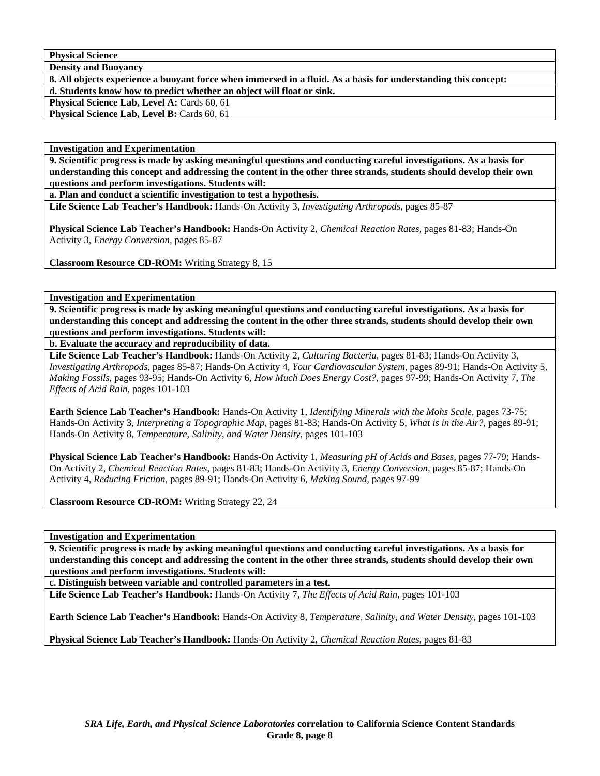**Density and Buoyancy** 

**8. All objects experience a buoyant force when immersed in a fluid. As a basis for understanding this concept: d. Students know how to predict whether an object will float or sink.** 

Physical Science Lab, Level A: Cards 60, 61

**Physical Science Lab, Level B: Cards 60, 61** 

**Investigation and Experimentation** 

**9. Scientific progress is made by asking meaningful questions and conducting careful investigations. As a basis for understanding this concept and addressing the content in the other three strands, students should develop their own questions and perform investigations. Students will:** 

**a. Plan and conduct a scientific investigation to test a hypothesis.** 

**Life Science Lab Teacher's Handbook:** Hands-On Activity 3, *Investigating Arthropods,* pages 85-87

**Physical Science Lab Teacher's Handbook:** Hands-On Activity 2, *Chemical Reaction Rates,* pages 81-83; Hands-On Activity 3, *Energy Conversion,* pages 85-87

**Classroom Resource CD-ROM:** Writing Strategy 8, 15

**Investigation and Experimentation** 

**9. Scientific progress is made by asking meaningful questions and conducting careful investigations. As a basis for understanding this concept and addressing the content in the other three strands, students should develop their own questions and perform investigations. Students will:** 

**b. Evaluate the accuracy and reproducibility of data.** 

**Life Science Lab Teacher's Handbook:** Hands-On Activity 2, *Culturing Bacteria,* pages 81-83; Hands-On Activity 3, *Investigating Arthropods,* pages 85-87; Hands-On Activity 4, *Your Cardiovascular System,* pages 89-91; Hands-On Activity 5, *Making Fossils,* pages 93-95; Hands-On Activity 6, *How Much Does Energy Cost?,* pages 97-99; Hands-On Activity 7, *The Effects of Acid Rain,* pages 101-103

**Earth Science Lab Teacher's Handbook:** Hands-On Activity 1, *Identifying Minerals with the Mohs Scale,* pages 73-75; Hands-On Activity 3, *Interpreting a Topographic Map,* pages 81-83; Hands-On Activity 5, *What is in the Air?,* pages 89-91; Hands-On Activity 8, *Temperature, Salinity, and Water Density,* pages 101-103

**Physical Science Lab Teacher's Handbook:** Hands-On Activity 1, *Measuring pH of Acids and Bases,* pages 77-79; Hands-On Activity 2, *Chemical Reaction Rates,* pages 81-83; Hands-On Activity 3, *Energy Conversion,* pages 85-87; Hands-On Activity 4, *Reducing Friction,* pages 89-91; Hands-On Activity 6, *Making Sound,* pages 97-99

**Classroom Resource CD-ROM:** Writing Strategy 22, 24

**Investigation and Experimentation** 

**9. Scientific progress is made by asking meaningful questions and conducting careful investigations. As a basis for understanding this concept and addressing the content in the other three strands, students should develop their own questions and perform investigations. Students will:** 

**c. Distinguish between variable and controlled parameters in a test.** 

**Life Science Lab Teacher's Handbook:** Hands-On Activity 7, *The Effects of Acid Rain,* pages 101-103

**Earth Science Lab Teacher's Handbook:** Hands-On Activity 8, *Temperature, Salinity, and Water Density,* pages 101-103

**Physical Science Lab Teacher's Handbook:** Hands-On Activity 2, *Chemical Reaction Rates,* pages 81-83